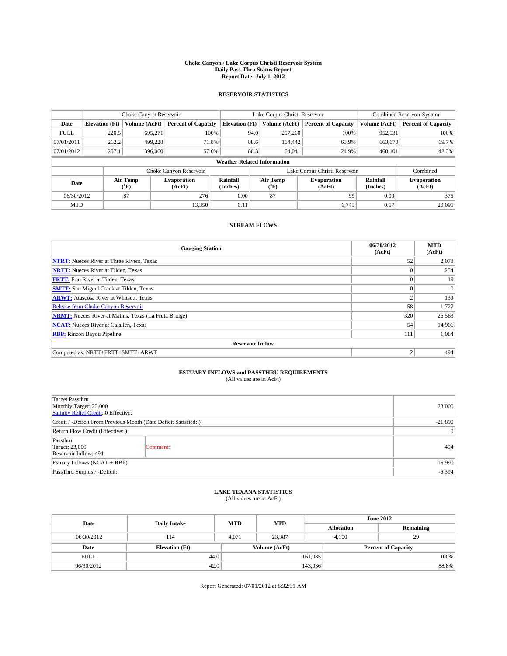#### **Choke Canyon / Lake Corpus Christi Reservoir System Daily Pass-Thru Status Report Report Date: July 1, 2012**

### **RESERVOIR STATISTICS**

|             | Choke Canyon Reservoir             |                  |                            |                       | Lake Corpus Christi Reservoir | <b>Combined Reservoir System</b> |                      |                              |  |
|-------------|------------------------------------|------------------|----------------------------|-----------------------|-------------------------------|----------------------------------|----------------------|------------------------------|--|
| Date        | <b>Elevation</b> (Ft)              | Volume (AcFt)    | <b>Percent of Capacity</b> | <b>Elevation</b> (Ft) | Volume (AcFt)                 | <b>Percent of Capacity</b>       | Volume (AcFt)        | Percent of Capacity          |  |
| <b>FULL</b> | 220.5                              | 695,271          | 100%                       | 94.0                  | 257,260                       | 100%                             | 952,531              | 100%                         |  |
| 07/01/2011  | 212.2                              | 499,228          | 71.8%                      |                       | 88.6<br>164,442               | 63.9%                            | 663,670              | 69.7%                        |  |
| 07/01/2012  | 207.1                              | 396,060          | 57.0%                      | 80.3                  | 64,041                        | 24.9%                            | 460.101              | 48.3%                        |  |
|             | <b>Weather Related Information</b> |                  |                            |                       |                               |                                  |                      |                              |  |
|             |                                    |                  | Choke Canyon Reservoir     |                       |                               | Lake Corpus Christi Reservoir    |                      | Combined                     |  |
| Date        |                                    | Air Temp<br>(°F) | Evaporation<br>(AcFt)      | Rainfall<br>(Inches)  | Air Temp<br>("F)              | <b>Evaporation</b><br>(AcFt)     | Rainfall<br>(Inches) | <b>Evaporation</b><br>(AcFt) |  |
| 06/30/2012  |                                    | 87               | 276                        | 0.00                  | 87                            | 99                               | 0.00                 | 375                          |  |
| <b>MTD</b>  |                                    |                  | 13,350                     | 0.11                  |                               | 6.745                            | 0.57                 | 20,095                       |  |

### **STREAM FLOWS**

| <b>Gauging Station</b>                                       | 06/30/2012<br>(AcFt) | <b>MTD</b><br>(AcFt) |  |  |  |  |
|--------------------------------------------------------------|----------------------|----------------------|--|--|--|--|
| <b>NTRT:</b> Nueces River at Three Rivers, Texas             | 52                   | 2,078                |  |  |  |  |
| <b>NRTT:</b> Nueces River at Tilden, Texas                   |                      | 254                  |  |  |  |  |
| <b>FRTT:</b> Frio River at Tilden, Texas                     | $\theta$             | 19                   |  |  |  |  |
| <b>SMTT:</b> San Miguel Creek at Tilden, Texas               |                      | $\Omega$             |  |  |  |  |
| <b>ARWT:</b> Atascosa River at Whitsett, Texas               | 2                    | 139                  |  |  |  |  |
| Release from Choke Canyon Reservoir                          | 58                   | 1,727                |  |  |  |  |
| <b>NRMT:</b> Nueces River at Mathis, Texas (La Fruta Bridge) | 320                  | 26,563               |  |  |  |  |
| <b>NCAT:</b> Nueces River at Calallen, Texas                 | 54                   | 14,906               |  |  |  |  |
| <b>RBP:</b> Rincon Bayou Pipeline                            | 111                  | 1,084                |  |  |  |  |
| <b>Reservoir Inflow</b>                                      |                      |                      |  |  |  |  |
| Computed as: NRTT+FRTT+SMTT+ARWT                             | $\overline{2}$       | 494                  |  |  |  |  |

# **ESTUARY INFLOWS and PASSTHRU REQUIREMENTS**<br>(All values are in AcFt)

| Target Passthru<br>Monthly Target: 23,000<br>Salinity Relief Credit: 0 Effective: |           |     |
|-----------------------------------------------------------------------------------|-----------|-----|
| Credit / -Deficit From Previous Month (Date Deficit Satisfied: )                  |           |     |
| Return Flow Credit (Effective: )                                                  | $\vert$ 0 |     |
| Passthru<br>Target: 23,000<br>Reservoir Inflow: 494                               | Comment:  | 494 |
| Estuary Inflows (NCAT + RBP)                                                      | 15,990    |     |
| PassThru Surplus / -Deficit:                                                      | $-6,394$  |     |

# **LAKE TEXANA STATISTICS** (All values are in AcFt)

| Date        | <b>Daily Intake</b>   | <b>MTD</b> | <b>YTD</b>    | <b>June 2012</b>  |                            |           |
|-------------|-----------------------|------------|---------------|-------------------|----------------------------|-----------|
|             |                       |            |               | <b>Allocation</b> |                            | Remaining |
| 06/30/2012  | 114                   | 4,071      | 23,387        | 4,100             | 29                         |           |
| Date        | <b>Elevation</b> (Ft) |            | Volume (AcFt) |                   | <b>Percent of Capacity</b> |           |
| <b>FULL</b> | 44.0                  |            |               | 161,085           |                            | 100%      |
| 06/30/2012  | 42.0                  |            |               | 143,036           |                            | 88.8%     |

Report Generated: 07/01/2012 at 8:32:31 AM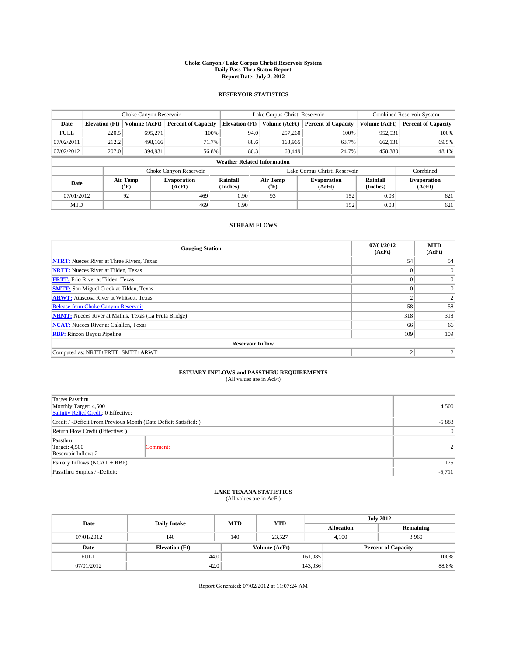#### **Choke Canyon / Lake Corpus Christi Reservoir System Daily Pass-Thru Status Report Report Date: July 2, 2012**

### **RESERVOIR STATISTICS**

|             | Choke Canyon Reservoir             |                                      |                              |                       | Lake Corpus Christi Reservoir |         |                               |                      | <b>Combined Reservoir System</b> |  |
|-------------|------------------------------------|--------------------------------------|------------------------------|-----------------------|-------------------------------|---------|-------------------------------|----------------------|----------------------------------|--|
| Date        | <b>Elevation</b> (Ft)              | Volume (AcFt)                        | <b>Percent of Capacity</b>   | <b>Elevation (Ft)</b> | Volume (AcFt)                 |         | <b>Percent of Capacity</b>    | Volume (AcFt)        | Percent of Capacity              |  |
| <b>FULL</b> | 220.5                              | 695,271                              | 100%                         |                       | 94.0<br>257,260               |         | 100%                          | 952,531              | 100%                             |  |
| 07/02/2011  | 212.2                              | 498,166                              | 71.7%                        |                       | 88.6                          | 163,965 | 63.7%                         | 662,131              | 69.5%                            |  |
| 07/02/2012  | 207.0                              | 394,931                              | 56.8%                        |                       | 80.3                          | 63.449  | 24.7%                         | 458,380              | 48.1%                            |  |
|             | <b>Weather Related Information</b> |                                      |                              |                       |                               |         |                               |                      |                                  |  |
|             |                                    |                                      | Choke Canyon Reservoir       |                       |                               |         | Lake Corpus Christi Reservoir |                      | Combined                         |  |
| Date        |                                    | Air Temp<br>$({}^{\circ}\mathrm{F})$ | <b>Evaporation</b><br>(AcFt) | Rainfall<br>(Inches)  | Air Temp<br>("F)              |         | <b>Evaporation</b><br>(AcFt)  | Rainfall<br>(Inches) | <b>Evaporation</b><br>(AcFt)     |  |
| 07/01/2012  |                                    | 92                                   | 469                          | 0.90                  | 93                            |         | 152                           | 0.03                 | 621                              |  |
| <b>MTD</b>  |                                    |                                      | 469                          | 0.90                  |                               |         | 152                           | 0.03                 | 621                              |  |

### **STREAM FLOWS**

| <b>Gauging Station</b>                                       | 07/01/2012<br>(AcFt) | <b>MTD</b><br>(AcFt) |  |  |  |  |  |
|--------------------------------------------------------------|----------------------|----------------------|--|--|--|--|--|
| <b>NTRT:</b> Nueces River at Three Rivers, Texas             | 54                   | 54                   |  |  |  |  |  |
| <b>NRTT:</b> Nueces River at Tilden, Texas                   |                      | $\overline{0}$       |  |  |  |  |  |
| <b>FRTT:</b> Frio River at Tilden, Texas                     |                      | $\overline{0}$       |  |  |  |  |  |
| <b>SMTT:</b> San Miguel Creek at Tilden, Texas               | $\Omega$             | $\overline{0}$       |  |  |  |  |  |
| <b>ARWT:</b> Atascosa River at Whitsett, Texas               | $\overline{2}$       | 2                    |  |  |  |  |  |
| <b>Release from Choke Canyon Reservoir</b>                   | 58                   | 58                   |  |  |  |  |  |
| <b>NRMT:</b> Nueces River at Mathis, Texas (La Fruta Bridge) | 318                  | 318                  |  |  |  |  |  |
| <b>NCAT:</b> Nueces River at Calallen, Texas                 | 66                   | 66                   |  |  |  |  |  |
| <b>RBP:</b> Rincon Bayou Pipeline                            | 109                  | 109                  |  |  |  |  |  |
| <b>Reservoir Inflow</b>                                      |                      |                      |  |  |  |  |  |
| Computed as: NRTT+FRTT+SMTT+ARWT                             | $\overline{2}$       |                      |  |  |  |  |  |

# **ESTUARY INFLOWS and PASSTHRU REQUIREMENTS**<br>(All values are in AcFt)

| Target Passthru<br>Monthly Target: 4,500<br>Salinity Relief Credit: 0 Effective: | 4,500    |                |
|----------------------------------------------------------------------------------|----------|----------------|
| Credit / -Deficit From Previous Month (Date Deficit Satisfied: )                 |          | $-5,883$       |
| Return Flow Credit (Effective: )                                                 |          | $\vert$ 0      |
| Passthru<br><b>Target: 4,500</b><br>Reservoir Inflow: 2                          | Comment: | $\overline{2}$ |
| Estuary Inflows (NCAT + RBP)                                                     |          | 175            |
| PassThru Surplus / -Deficit:                                                     |          |                |

## **LAKE TEXANA STATISTICS** (All values are in AcFt)

| Date        | <b>Daily Intake</b>   | <b>MTD</b> | <b>YTD</b>    | <b>July 2012</b>  |                            |  |  |
|-------------|-----------------------|------------|---------------|-------------------|----------------------------|--|--|
|             |                       |            |               | <b>Allocation</b> | Remaining                  |  |  |
| 07/01/2012  | 140                   | 140        | 23,527        | 4,100             | 3,960                      |  |  |
| Date        | <b>Elevation</b> (Ft) |            | Volume (AcFt) |                   | <b>Percent of Capacity</b> |  |  |
| <b>FULL</b> | 44.0                  |            |               | 161,085           | 100%                       |  |  |
| 07/01/2012  | 42.0                  |            |               | 143,036           | 88.8%                      |  |  |

Report Generated: 07/02/2012 at 11:07:24 AM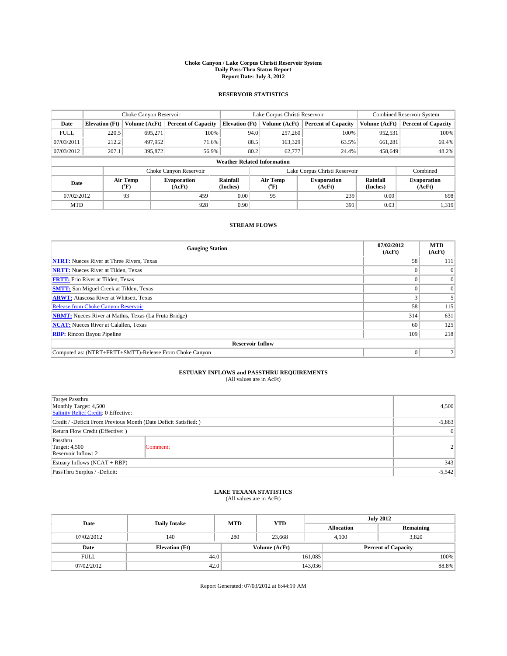#### **Choke Canyon / Lake Corpus Christi Reservoir System Daily Pass-Thru Status Report Report Date: July 3, 2012**

### **RESERVOIR STATISTICS**

|             | Choke Canyon Reservoir             |                                      |                              |                       | Lake Corpus Christi Reservoir | <b>Combined Reservoir System</b> |                      |                              |  |
|-------------|------------------------------------|--------------------------------------|------------------------------|-----------------------|-------------------------------|----------------------------------|----------------------|------------------------------|--|
| Date        | <b>Elevation</b> (Ft)              | Volume (AcFt)                        | <b>Percent of Capacity</b>   | <b>Elevation (Ft)</b> | Volume (AcFt)                 | <b>Percent of Capacity</b>       | Volume (AcFt)        | Percent of Capacity          |  |
| <b>FULL</b> | 220.5                              | 695,271                              | 100%                         | 94.0                  | 257,260                       | 100%                             | 952,531              | 100%                         |  |
| 07/03/2011  | 212.2                              | 497,952                              | 71.6%                        | 88.5                  | 163,329                       | 63.5%                            | 661,281              | 69.4%                        |  |
| 07/03/2012  | 207.1                              | 395,872                              | 56.9%                        | 80.2                  | 62,777                        | 24.4%                            | 458,649              | 48.2%                        |  |
|             | <b>Weather Related Information</b> |                                      |                              |                       |                               |                                  |                      |                              |  |
|             |                                    |                                      | Choke Canyon Reservoir       |                       |                               | Lake Corpus Christi Reservoir    |                      | Combined                     |  |
| Date        |                                    | Air Temp<br>$({}^{\circ}\mathrm{F})$ | <b>Evaporation</b><br>(AcFt) | Rainfall<br>(Inches)  | Air Temp<br>("F)              | <b>Evaporation</b><br>(AcFt)     | Rainfall<br>(Inches) | <b>Evaporation</b><br>(AcFt) |  |
| 07/02/2012  |                                    | 93                                   | 459                          | 0.00                  | 95                            | 239                              | 0.00                 | 698                          |  |
| <b>MTD</b>  |                                    |                                      | 928                          | 0.90                  |                               | 391                              | 0.03                 | 1,319                        |  |

### **STREAM FLOWS**

| <b>Gauging Station</b>                                       | 07/02/2012<br>(AcFt) | <b>MTD</b><br>(AcFt) |  |  |  |  |
|--------------------------------------------------------------|----------------------|----------------------|--|--|--|--|
| <b>NTRT:</b> Nueces River at Three Rivers, Texas             | 58                   | 111                  |  |  |  |  |
| <b>NRTT:</b> Nueces River at Tilden, Texas                   |                      |                      |  |  |  |  |
| <b>FRTT:</b> Frio River at Tilden, Texas                     |                      | $\overline{0}$       |  |  |  |  |
| <b>SMTT:</b> San Miguel Creek at Tilden, Texas               |                      | $\Omega$             |  |  |  |  |
| <b>ARWT:</b> Atascosa River at Whitsett, Texas               |                      |                      |  |  |  |  |
| Release from Choke Canyon Reservoir                          | 58                   | 115                  |  |  |  |  |
| <b>NRMT:</b> Nueces River at Mathis, Texas (La Fruta Bridge) | 314                  | 631                  |  |  |  |  |
| <b>NCAT:</b> Nueces River at Calallen, Texas                 | 60                   | 125                  |  |  |  |  |
| <b>RBP:</b> Rincon Bayou Pipeline                            | 109                  | 218                  |  |  |  |  |
| <b>Reservoir Inflow</b>                                      |                      |                      |  |  |  |  |
| Computed as: (NTRT+FRTT+SMTT)-Release From Choke Canyon      | $\Omega$             | 2                    |  |  |  |  |

# **ESTUARY INFLOWS and PASSTHRU REQUIREMENTS**<br>(All values are in AcFt)

| Target Passthru<br>Monthly Target: 4,500<br>Salinity Relief Credit: 0 Effective: | 4,500    |                |
|----------------------------------------------------------------------------------|----------|----------------|
| Credit / -Deficit From Previous Month (Date Deficit Satisfied: )                 | $-5,883$ |                |
| Return Flow Credit (Effective: )                                                 |          |                |
| Passthru<br><b>Target: 4,500</b><br>Reservoir Inflow: 2                          | Comment: | 2 <sup>1</sup> |
| Estuary Inflows $(NCAT + RBP)$                                                   |          |                |
| PassThru Surplus / -Deficit:                                                     |          |                |

## **LAKE TEXANA STATISTICS** (All values are in AcFt)

| Date        | <b>Daily Intake</b>   | <b>MTD</b> | <b>YTD</b>    | <b>July 2012</b>  |                            |  |
|-------------|-----------------------|------------|---------------|-------------------|----------------------------|--|
|             |                       |            |               | <b>Allocation</b> | Remaining                  |  |
| 07/02/2012  | 140                   | 280        | 23,668        | 4,100             | 3,820                      |  |
| Date        | <b>Elevation</b> (Ft) |            | Volume (AcFt) |                   | <b>Percent of Capacity</b> |  |
| <b>FULL</b> | 44.0                  |            |               | 161,085           | 100%                       |  |
| 07/02/2012  | 42.0                  |            |               | 143,036           | 88.8%                      |  |

Report Generated: 07/03/2012 at 8:44:19 AM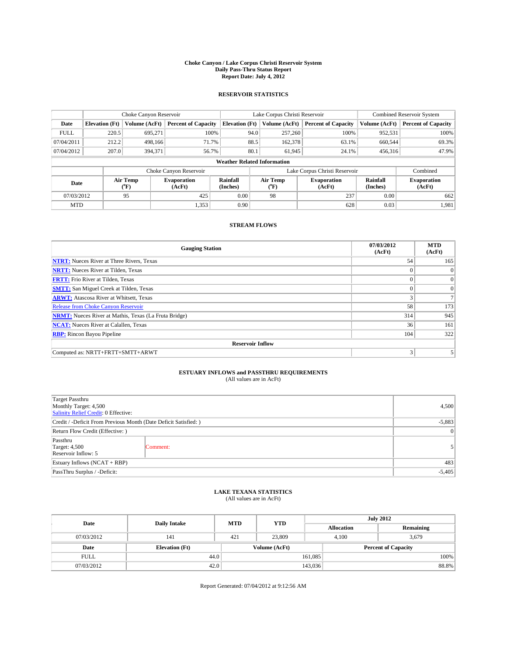#### **Choke Canyon / Lake Corpus Christi Reservoir System Daily Pass-Thru Status Report Report Date: July 4, 2012**

### **RESERVOIR STATISTICS**

|             |                       | Choke Canyon Reservoir |                              |                                    | Lake Corpus Christi Reservoir | <b>Combined Reservoir System</b> |                      |                              |
|-------------|-----------------------|------------------------|------------------------------|------------------------------------|-------------------------------|----------------------------------|----------------------|------------------------------|
| Date        | <b>Elevation</b> (Ft) | Volume (AcFt)          | <b>Percent of Capacity</b>   | <b>Elevation (Ft)</b>              | Volume (AcFt)                 | <b>Percent of Capacity</b>       | Volume (AcFt)        | <b>Percent of Capacity</b>   |
| <b>FULL</b> | 220.5                 | 695,271                | 100%                         |                                    | 94.0<br>257,260               | 100%                             | 952,531              | 100%                         |
| 07/04/2011  | 212.2                 | 498,166                | 71.7%                        |                                    | 88.5<br>162,378               | 63.1%                            | 660,544              | 69.3%                        |
| 07/04/2012  | 207.0                 | 394,371                | 56.7%                        | 80.1                               | 61,945                        | 24.1%                            | 456,316              | 47.9%                        |
|             |                       |                        |                              | <b>Weather Related Information</b> |                               |                                  |                      |                              |
|             |                       |                        | Choke Canyon Reservoir       |                                    | Lake Corpus Christi Reservoir |                                  |                      |                              |
| Date        |                       | Air Temp<br>(°F)       | <b>Evaporation</b><br>(AcFt) | Rainfall<br>(Inches)               | Air Temp<br>(°F)              | <b>Evaporation</b><br>(AcFt)     | Rainfall<br>(Inches) | <b>Evaporation</b><br>(AcFt) |
| 07/03/2012  |                       | 95                     | 425                          | 0.00                               | 98                            | 237                              | 0.00                 | 662                          |
| <b>MTD</b>  |                       |                        | 1,353                        | 0.90                               |                               | 628                              | 0.03                 | 1,981                        |

### **STREAM FLOWS**

| <b>Gauging Station</b>                                       | 07/03/2012<br>(AcFt) | <b>MTD</b><br>(AcFt) |
|--------------------------------------------------------------|----------------------|----------------------|
| <b>NTRT:</b> Nueces River at Three Rivers, Texas             | 54                   | 165                  |
| <b>NRTT:</b> Nueces River at Tilden, Texas                   |                      | $\Omega$             |
| <b>FRTT:</b> Frio River at Tilden, Texas                     |                      | $\overline{0}$       |
| <b>SMTT:</b> San Miguel Creek at Tilden, Texas               |                      | $\overline{0}$       |
| <b>ARWT:</b> Atascosa River at Whitsett, Texas               | 3                    |                      |
| <b>Release from Choke Canyon Reservoir</b>                   | 58                   | 173                  |
| <b>NRMT:</b> Nueces River at Mathis, Texas (La Fruta Bridge) | 314                  | 945                  |
| <b>NCAT:</b> Nueces River at Calallen, Texas                 | 36                   | 161                  |
| <b>RBP:</b> Rincon Bayou Pipeline                            | 104                  | 322                  |
| <b>Reservoir Inflow</b>                                      |                      |                      |
| Computed as: NRTT+FRTT+SMTT+ARWT                             | 3                    |                      |

# **ESTUARY INFLOWS and PASSTHRU REQUIREMENTS**<br>(All values are in AcFt)

| Target Passthru<br>Monthly Target: 4,500<br>Salinity Relief Credit: 0 Effective: |          |  |  |
|----------------------------------------------------------------------------------|----------|--|--|
| Credit / -Deficit From Previous Month (Date Deficit Satisfied: )                 |          |  |  |
| Return Flow Credit (Effective: )                                                 |          |  |  |
| Passthru<br><b>Target: 4,500</b><br>Reservoir Inflow: 5                          | Comment: |  |  |
| Estuary Inflows $(NCAT + RBP)$                                                   |          |  |  |
| PassThru Surplus / -Deficit:                                                     |          |  |  |

## **LAKE TEXANA STATISTICS** (All values are in AcFt)

| Date        | <b>Daily Intake</b>   | <b>MTD</b> | <b>YTD</b>    | <b>July 2012</b>  |                            |           |  |
|-------------|-----------------------|------------|---------------|-------------------|----------------------------|-----------|--|
|             |                       |            |               | <b>Allocation</b> |                            | Remaining |  |
| 07/03/2012  | 141                   | 421        | 23,809        | 4,100             |                            | 3,679     |  |
| Date        | <b>Elevation</b> (Ft) |            | Volume (AcFt) |                   | <b>Percent of Capacity</b> |           |  |
| <b>FULL</b> | 44.0                  |            |               | 161,085           |                            | 100%      |  |
| 07/03/2012  | 42.0                  |            |               | 143,036           |                            | 88.8%     |  |

Report Generated: 07/04/2012 at 9:12:56 AM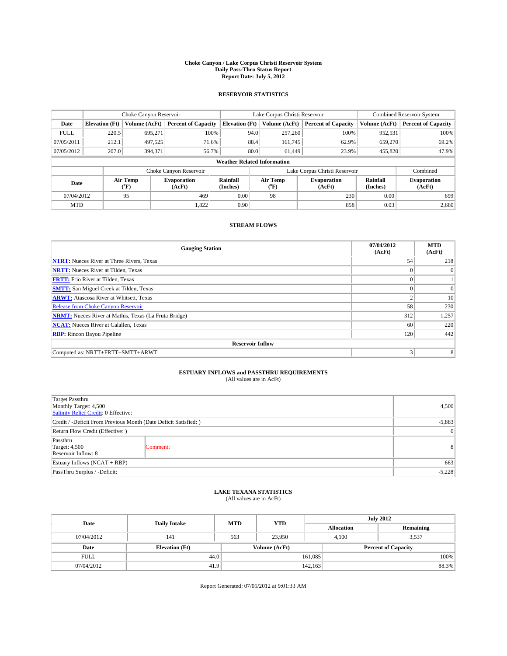#### **Choke Canyon / Lake Corpus Christi Reservoir System Daily Pass-Thru Status Report Report Date: July 5, 2012**

### **RESERVOIR STATISTICS**

|             |                       | Choke Canyon Reservoir |                              |                                    | Lake Corpus Christi Reservoir | <b>Combined Reservoir System</b> |                      |                              |
|-------------|-----------------------|------------------------|------------------------------|------------------------------------|-------------------------------|----------------------------------|----------------------|------------------------------|
| Date        | <b>Elevation</b> (Ft) | Volume (AcFt)          | <b>Percent of Capacity</b>   | <b>Elevation (Ft)</b>              | Volume (AcFt)                 | <b>Percent of Capacity</b>       | Volume (AcFt)        | Percent of Capacity          |
| <b>FULL</b> | 220.5                 | 695,271                | 100%                         | 94.0                               | 257,260                       | 100%                             | 952,531              | 100%                         |
| 07/05/2011  | 212.1                 | 497,525                | 71.6%                        | 88.4                               | 161,745                       | 62.9%                            | 659,270              | $69.2\%$                     |
| 07/05/2012  | 207.0                 | 394,371                | 56.7%                        | 80.0                               | 61.449                        | 23.9%                            | 455,820              | 47.9%                        |
|             |                       |                        |                              | <b>Weather Related Information</b> |                               |                                  |                      |                              |
|             |                       |                        | Choke Canyon Reservoir       |                                    | Lake Corpus Christi Reservoir |                                  | Combined             |                              |
| Date        |                       | Air Temp<br>$(^{0}F)$  | <b>Evaporation</b><br>(AcFt) | Rainfall<br>(Inches)               | Air Temp<br>("F)              | <b>Evaporation</b><br>(AcFt)     | Rainfall<br>(Inches) | <b>Evaporation</b><br>(AcFt) |
| 07/04/2012  |                       | 95                     | 469                          | 0.00                               | 98                            | 230                              | 0.00                 | 699                          |
| <b>MTD</b>  |                       |                        | 1,822                        | 0.90                               |                               | 858                              | 0.03                 | 2,680                        |

### **STREAM FLOWS**

| <b>Gauging Station</b>                                       | 07/04/2012<br>(AcFt) | <b>MTD</b><br>(AcFt) |
|--------------------------------------------------------------|----------------------|----------------------|
| <b>NTRT:</b> Nueces River at Three Rivers, Texas             | 54                   | 218                  |
| <b>NRTT:</b> Nueces River at Tilden, Texas                   |                      | $\overline{0}$       |
| <b>FRTT:</b> Frio River at Tilden, Texas                     |                      |                      |
| <b>SMTT:</b> San Miguel Creek at Tilden, Texas               |                      | $\Omega$             |
| <b>ARWT:</b> Atascosa River at Whitsett, Texas               | 2                    | 10                   |
| Release from Choke Canyon Reservoir                          | 58                   | 230                  |
| <b>NRMT:</b> Nueces River at Mathis, Texas (La Fruta Bridge) | 312                  | 1,257                |
| <b>NCAT:</b> Nueces River at Calallen, Texas                 | 60                   | 220                  |
| <b>RBP:</b> Rincon Bayou Pipeline                            | 120                  | 442                  |
| <b>Reservoir Inflow</b>                                      |                      |                      |
| Computed as: NRTT+FRTT+SMTT+ARWT                             | 3                    | 8                    |

# **ESTUARY INFLOWS and PASSTHRU REQUIREMENTS**<br>(All values are in AcFt)

| Target Passthru<br>Monthly Target: 4,500<br>Salinity Relief Credit: 0 Effective: |           |                |  |
|----------------------------------------------------------------------------------|-----------|----------------|--|
| Credit / -Deficit From Previous Month (Date Deficit Satisfied: )                 |           |                |  |
| Return Flow Credit (Effective: )                                                 | $\vert$ 0 |                |  |
| Passthru<br><b>Target: 4,500</b><br>Reservoir Inflow: 8                          | Comment:  | 8 <sup>1</sup> |  |
| Estuary Inflows (NCAT + RBP)                                                     | 663       |                |  |
| PassThru Surplus / -Deficit:                                                     | $-5,228$  |                |  |

# **LAKE TEXANA STATISTICS** (All values are in AcFt)

| Date        | <b>Daily Intake</b>   | <b>MTD</b> | <b>YTD</b>    | <b>July 2012</b>  |                            |           |  |
|-------------|-----------------------|------------|---------------|-------------------|----------------------------|-----------|--|
|             |                       |            |               | <b>Allocation</b> |                            | Remaining |  |
| 07/04/2012  | 141                   | 563        | 23.950        |                   | 3,537<br>4,100             |           |  |
| Date        | <b>Elevation</b> (Ft) |            | Volume (AcFt) |                   | <b>Percent of Capacity</b> |           |  |
| <b>FULL</b> | 44.0                  |            |               | 161,085           |                            | 100%      |  |
| 07/04/2012  | 41.9                  |            |               | 142.163           |                            | 88.3%     |  |

Report Generated: 07/05/2012 at 9:01:33 AM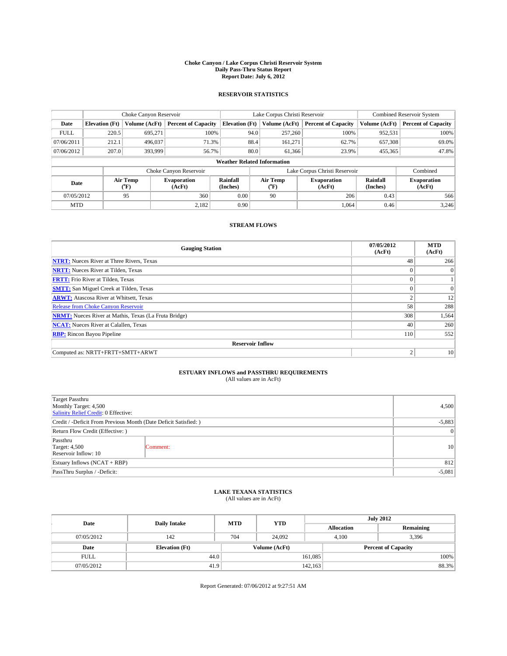#### **Choke Canyon / Lake Corpus Christi Reservoir System Daily Pass-Thru Status Report Report Date: July 6, 2012**

### **RESERVOIR STATISTICS**

|             | Choke Canyon Reservoir |                  | Lake Corpus Christi Reservoir |                                    |                               |                  | <b>Combined Reservoir System</b> |                      |                              |
|-------------|------------------------|------------------|-------------------------------|------------------------------------|-------------------------------|------------------|----------------------------------|----------------------|------------------------------|
| Date        | <b>Elevation</b> (Ft)  | Volume (AcFt)    | <b>Percent of Capacity</b>    | <b>Elevation</b> (Ft)              |                               | Volume (AcFt)    | <b>Percent of Capacity</b>       | Volume (AcFt)        | Percent of Capacity          |
| <b>FULL</b> | 220.5                  | 695,271          | 100%                          |                                    | 94.0                          | 257,260          | 100%                             | 952,531              | 100%                         |
| 07/06/2011  | 212.1                  | 496,037          | 71.3%                         |                                    | 88.4                          | 161,271          | 62.7%                            | 657,308              | $69.0\%$                     |
| 07/06/2012  | 207.0                  | 393,999          | 56.7%                         |                                    | 80.0                          | 61.366           | 23.9%                            | 455,365              | 47.8%                        |
|             |                        |                  |                               | <b>Weather Related Information</b> |                               |                  |                                  |                      |                              |
|             |                        |                  | Choke Canyon Reservoir        |                                    | Lake Corpus Christi Reservoir |                  |                                  |                      | Combined                     |
| Date        |                        | Air Temp<br>(°F) | Evaporation<br>(AcFt)         | Rainfall<br>(Inches)               |                               | Air Temp<br>("F) | <b>Evaporation</b><br>(AcFt)     | Rainfall<br>(Inches) | <b>Evaporation</b><br>(AcFt) |
| 07/05/2012  |                        | 95               | 360                           | 0.00                               |                               | 90               | 206                              | 0.43                 | 566                          |
| <b>MTD</b>  |                        |                  | 2.182                         | 0.90                               |                               |                  | 1.064                            | 0.46                 | 3.246                        |

### **STREAM FLOWS**

| <b>Gauging Station</b>                                       | 07/05/2012<br>(AcFt) | <b>MTD</b><br>(AcFt) |
|--------------------------------------------------------------|----------------------|----------------------|
| <b>NTRT:</b> Nueces River at Three Rivers, Texas             | 48                   | 266                  |
| <b>NRTT:</b> Nueces River at Tilden, Texas                   |                      | $\overline{0}$       |
| <b>FRTT:</b> Frio River at Tilden, Texas                     |                      |                      |
| <b>SMTT:</b> San Miguel Creek at Tilden, Texas               | $\theta$             | $\Omega$             |
| <b>ARWT:</b> Atascosa River at Whitsett, Texas               | $\overline{2}$       | 12                   |
| Release from Choke Canyon Reservoir                          | 58                   | 288                  |
| <b>NRMT:</b> Nueces River at Mathis, Texas (La Fruta Bridge) | 308                  | 1,564                |
| <b>NCAT:</b> Nueces River at Calallen, Texas                 | 40                   | 260                  |
| <b>RBP:</b> Rincon Bayou Pipeline                            | 110                  | 552                  |
| <b>Reservoir Inflow</b>                                      |                      |                      |
| Computed as: NRTT+FRTT+SMTT+ARWT                             | $\overline{2}$       | 10                   |

# **ESTUARY INFLOWS and PASSTHRU REQUIREMENTS**<br>(All values are in AcFt)

| Target Passthru<br>Monthly Target: 4,500<br>Salinity Relief Credit: 0 Effective: |          |                 |  |
|----------------------------------------------------------------------------------|----------|-----------------|--|
| Credit / -Deficit From Previous Month (Date Deficit Satisfied: )                 |          |                 |  |
| Return Flow Credit (Effective: )                                                 |          |                 |  |
| Passthru<br><b>Target: 4,500</b><br>Reservoir Inflow: 10                         | Comment: | 10 <sup>1</sup> |  |
| Estuary Inflows $(NCAT + RBP)$                                                   |          |                 |  |
| PassThru Surplus / -Deficit:                                                     |          |                 |  |

## **LAKE TEXANA STATISTICS** (All values are in AcFt)

| Date        | <b>Daily Intake</b>   | <b>MTD</b>    | <b>YTD</b> | <b>July 2012</b>  |                            |           |       |
|-------------|-----------------------|---------------|------------|-------------------|----------------------------|-----------|-------|
|             |                       |               |            | <b>Allocation</b> |                            | Remaining |       |
| 07/05/2012  | 142                   | 704           | 24,092     |                   | 3,396<br>4,100             |           |       |
| Date        | <b>Elevation</b> (Ft) | Volume (AcFt) |            |                   | <b>Percent of Capacity</b> |           |       |
| <b>FULL</b> | 44.0                  |               |            | 161,085           |                            |           | 100%  |
| 07/05/2012  | 41.9                  |               |            | 142,163           |                            |           | 88.3% |

Report Generated: 07/06/2012 at 9:27:51 AM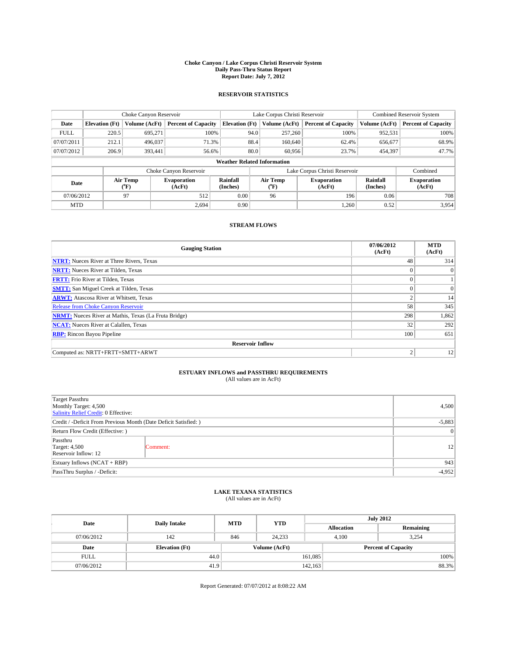#### **Choke Canyon / Lake Corpus Christi Reservoir System Daily Pass-Thru Status Report Report Date: July 7, 2012**

### **RESERVOIR STATISTICS**

|             | Choke Canyon Reservoir             |                  |                            |                       | Lake Corpus Christi Reservoir |               |                              |                      | <b>Combined Reservoir System</b> |  |  |
|-------------|------------------------------------|------------------|----------------------------|-----------------------|-------------------------------|---------------|------------------------------|----------------------|----------------------------------|--|--|
| Date        | <b>Elevation</b> (Ft)              | Volume (AcFt)    | <b>Percent of Capacity</b> | <b>Elevation</b> (Ft) |                               | Volume (AcFt) | <b>Percent of Capacity</b>   | Volume (AcFt)        | Percent of Capacity              |  |  |
| <b>FULL</b> | 220.5                              | 695,271          | 100%                       |                       | 94.0                          | 257,260       | 100%                         | 952,531              | 100%                             |  |  |
| 07/07/2011  | 212.1                              | 496,037          | 71.3%                      |                       | 88.4                          | 160,640       | 62.4%                        | 656,677              | 68.9%                            |  |  |
| 07/07/2012  | 206.9                              | 393.441          | 56.6%                      |                       | 80.0                          | 60.956        | 23.7%                        | 454,397              | 47.7%                            |  |  |
|             | <b>Weather Related Information</b> |                  |                            |                       |                               |               |                              |                      |                                  |  |  |
|             |                                    |                  | Choke Canyon Reservoir     |                       | Lake Corpus Christi Reservoir |               |                              |                      | Combined                         |  |  |
| Date        |                                    | Air Temp<br>(°F) | Evaporation<br>(AcFt)      | Rainfall<br>(Inches)  | Air Temp<br>("F)              |               | <b>Evaporation</b><br>(AcFt) | Rainfall<br>(Inches) | <b>Evaporation</b><br>(AcFt)     |  |  |
| 07/06/2012  |                                    | 97               | 512                        | 0.00                  |                               | 96            | 0.06<br>196                  |                      | 708                              |  |  |
| <b>MTD</b>  |                                    |                  | 2.694                      | 0.90                  |                               |               | 1.260                        | 0.52                 | 3.954                            |  |  |

### **STREAM FLOWS**

| <b>Gauging Station</b>                                       | 07/06/2012<br>(AcFt) | <b>MTD</b><br>(AcFt) |
|--------------------------------------------------------------|----------------------|----------------------|
| <b>NTRT:</b> Nueces River at Three Rivers, Texas             | 48                   | 314                  |
| <b>NRTT:</b> Nueces River at Tilden, Texas                   |                      | $\overline{0}$       |
| <b>FRTT:</b> Frio River at Tilden, Texas                     |                      |                      |
| <b>SMTT:</b> San Miguel Creek at Tilden, Texas               | $\Omega$             | $\overline{0}$       |
| <b>ARWT:</b> Atascosa River at Whitsett, Texas               | $\overline{2}$       | 14                   |
| Release from Choke Canyon Reservoir                          | 58                   | 345                  |
| <b>NRMT:</b> Nueces River at Mathis, Texas (La Fruta Bridge) | 298                  | 1,862                |
| <b>NCAT:</b> Nueces River at Calallen, Texas                 | 32                   | 292                  |
| <b>RBP:</b> Rincon Bayou Pipeline                            | 100                  | 651                  |
| <b>Reservoir Inflow</b>                                      |                      |                      |
| Computed as: NRTT+FRTT+SMTT+ARWT                             | $\overline{2}$       | 12                   |

# **ESTUARY INFLOWS and PASSTHRU REQUIREMENTS**<br>(All values are in AcFt)

| Target Passthru<br>Monthly Target: 4,500<br>Salinity Relief Credit: 0 Effective: | 4,500           |    |  |
|----------------------------------------------------------------------------------|-----------------|----|--|
| Credit / -Deficit From Previous Month (Date Deficit Satisfied: )                 |                 |    |  |
| Return Flow Credit (Effective: )                                                 | $\vert 0 \vert$ |    |  |
| Passthru<br><b>Target: 4,500</b><br>Reservoir Inflow: 12                         | Comment:        | 12 |  |
| Estuary Inflows (NCAT + RBP)                                                     |                 |    |  |
| PassThru Surplus / -Deficit:                                                     |                 |    |  |

## **LAKE TEXANA STATISTICS** (All values are in AcFt)

| Date        | <b>Daily Intake</b>   | <b>MTD</b> | <b>YTD</b>    | <b>July 2012</b>  |  |                            |  |
|-------------|-----------------------|------------|---------------|-------------------|--|----------------------------|--|
|             |                       |            |               | <b>Allocation</b> |  | Remaining                  |  |
| 07/06/2012  | 142                   | 846        | 24.233        | 4,100             |  | 3,254                      |  |
| Date        | <b>Elevation</b> (Ft) |            | Volume (AcFt) |                   |  | <b>Percent of Capacity</b> |  |
| <b>FULL</b> | 44.0                  |            |               | 161,085           |  | 100%                       |  |
| 07/06/2012  | 41.9                  |            |               | 142,163           |  | 88.3%                      |  |

Report Generated: 07/07/2012 at 8:08:22 AM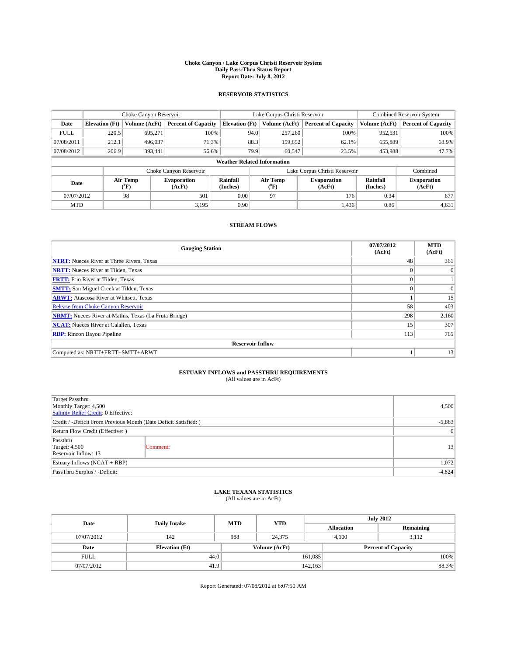#### **Choke Canyon / Lake Corpus Christi Reservoir System Daily Pass-Thru Status Report Report Date: July 8, 2012**

### **RESERVOIR STATISTICS**

|             | Choke Canyon Reservoir             |                  | Lake Corpus Christi Reservoir |                       |                               |                  | <b>Combined Reservoir System</b> |               |                              |  |
|-------------|------------------------------------|------------------|-------------------------------|-----------------------|-------------------------------|------------------|----------------------------------|---------------|------------------------------|--|
| Date        | <b>Elevation</b> (Ft)              | Volume (AcFt)    | <b>Percent of Capacity</b>    | <b>Elevation</b> (Ft) |                               | Volume (AcFt)    | <b>Percent of Capacity</b>       | Volume (AcFt) | Percent of Capacity          |  |
| <b>FULL</b> | 220.5                              | 695,271          | 100%                          |                       | 94.0                          | 257,260          | 100%                             | 952,531       | 100%                         |  |
| 07/08/2011  | 212.1                              | 496,037          | 71.3%                         |                       | 88.3                          | 159,852          | 62.1%                            | 655,889       | 68.9%                        |  |
| 07/08/2012  | 206.9                              | 393.441          | 56.6%                         |                       | 79.9                          | 60.547           | 23.5%                            | 453,988       | 47.7%                        |  |
|             | <b>Weather Related Information</b> |                  |                               |                       |                               |                  |                                  |               |                              |  |
|             |                                    |                  | Choke Canyon Reservoir        |                       | Lake Corpus Christi Reservoir |                  |                                  |               | Combined                     |  |
| Date        |                                    | Air Temp<br>(°F) | Evaporation<br>(AcFt)         | Rainfall<br>(Inches)  |                               | Air Temp<br>("F) | <b>Evaporation</b><br>(AcFt)     |               | <b>Evaporation</b><br>(AcFt) |  |
| 07/07/2012  |                                    | 98               | 501                           | 0.00                  |                               | 97               | 176                              | 0.34          | 677                          |  |
| <b>MTD</b>  |                                    |                  | 3.195                         | 0.90                  |                               |                  | 1.436                            | 0.86          | 4,631                        |  |

### **STREAM FLOWS**

| <b>Gauging Station</b>                                       | 07/07/2012<br>(AcFt) | <b>MTD</b><br>(AcFt) |
|--------------------------------------------------------------|----------------------|----------------------|
| <b>NTRT:</b> Nueces River at Three Rivers, Texas             | 48                   | 361                  |
| <b>NRTT:</b> Nueces River at Tilden, Texas                   |                      | $\overline{0}$       |
| <b>FRTT:</b> Frio River at Tilden, Texas                     |                      |                      |
| <b>SMTT:</b> San Miguel Creek at Tilden, Texas               | $\theta$             | $\Omega$             |
| <b>ARWT:</b> Atascosa River at Whitsett, Texas               |                      | 15                   |
| <b>Release from Choke Canyon Reservoir</b>                   | 58                   | 403                  |
| <b>NRMT:</b> Nueces River at Mathis, Texas (La Fruta Bridge) | 298                  | 2,160                |
| <b>NCAT:</b> Nueces River at Calallen, Texas                 | 15                   | 307                  |
| <b>RBP:</b> Rincon Bayou Pipeline                            | 113                  | 765                  |
| <b>Reservoir Inflow</b>                                      |                      |                      |
| Computed as: NRTT+FRTT+SMTT+ARWT                             |                      | 13                   |

# **ESTUARY INFLOWS and PASSTHRU REQUIREMENTS**<br>(All values are in AcFt)

| Target Passthru<br>Monthly Target: 4,500<br>Salinity Relief Credit: 0 Effective: | 4,500           |    |  |
|----------------------------------------------------------------------------------|-----------------|----|--|
| Credit / -Deficit From Previous Month (Date Deficit Satisfied: )                 |                 |    |  |
| Return Flow Credit (Effective: )                                                 | $\vert 0 \vert$ |    |  |
| Passthru<br><b>Target: 4,500</b><br>Reservoir Inflow: 13                         | Comment:        | 13 |  |
| Estuary Inflows (NCAT + RBP)                                                     |                 |    |  |
| PassThru Surplus / -Deficit:                                                     |                 |    |  |

## **LAKE TEXANA STATISTICS** (All values are in AcFt)

| Date        | <b>Daily Intake</b>   | <b>MTD</b> | <b>YTD</b>    | <b>July 2012</b>  |                |                            |  |
|-------------|-----------------------|------------|---------------|-------------------|----------------|----------------------------|--|
|             |                       |            |               | <b>Allocation</b> |                | Remaining                  |  |
| 07/07/2012  | 142                   | 988        | 24,375        |                   | 4,100<br>3,112 |                            |  |
| Date        | <b>Elevation</b> (Ft) |            | Volume (AcFt) |                   |                | <b>Percent of Capacity</b> |  |
| <b>FULL</b> | 44.0                  |            |               | 161,085           |                | 100%                       |  |
| 07/07/2012  | 41.9                  |            |               | 142,163           |                | 88.3%                      |  |

Report Generated: 07/08/2012 at 8:07:50 AM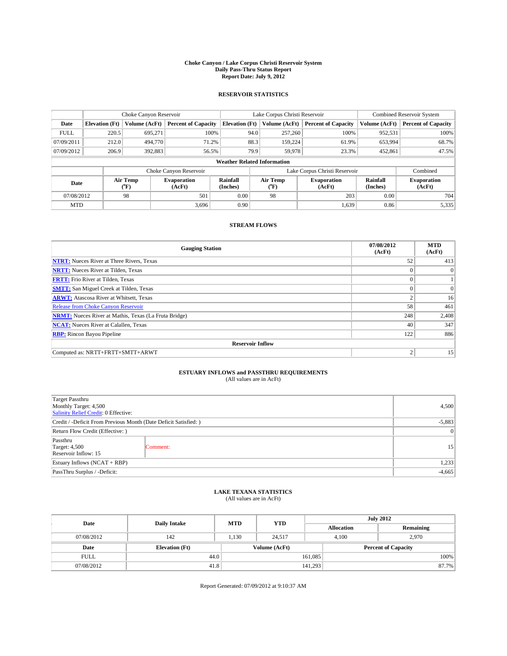#### **Choke Canyon / Lake Corpus Christi Reservoir System Daily Pass-Thru Status Report Report Date: July 9, 2012**

### **RESERVOIR STATISTICS**

|                          |                                    | Choke Canyon Reservoir |                            | Lake Corpus Christi Reservoir |                               |                              |                            | <b>Combined Reservoir System</b> |                              |  |
|--------------------------|------------------------------------|------------------------|----------------------------|-------------------------------|-------------------------------|------------------------------|----------------------------|----------------------------------|------------------------------|--|
| Date                     | <b>Elevation</b> (Ft)              | Volume (AcFt)          | <b>Percent of Capacity</b> | <b>Elevation</b> (Ft)         | Volume (AcFt)                 |                              | <b>Percent of Capacity</b> | Volume (AcFt)                    | Percent of Capacity          |  |
| <b>FULL</b>              | 220.5                              | 695,271                | 100%                       |                               | 257,260<br>94.0               |                              | 100%                       | 952,531                          | 100%                         |  |
| 07/09/2011               | 212.0                              | 494,770                | 71.2%                      |                               | 88.3<br>159,224               |                              | 61.9%                      | 653,994                          | 68.7%                        |  |
| 07/09/2012               | 206.9                              | 392,883                | 56.5%                      |                               | 79.9<br>59,978                |                              | 23.3%                      | 452,861                          | 47.5%                        |  |
|                          | <b>Weather Related Information</b> |                        |                            |                               |                               |                              |                            |                                  |                              |  |
|                          |                                    |                        | Choke Canyon Reservoir     |                               | Lake Corpus Christi Reservoir |                              |                            |                                  | Combined                     |  |
| Air Temp<br>Date<br>(°F) |                                    |                        | Evaporation<br>(AcFt)      | Rainfall<br>(Inches)          | Air Temp<br>("F)              | <b>Evaporation</b><br>(AcFt) |                            | Rainfall<br>(Inches)             | <b>Evaporation</b><br>(AcFt) |  |
| 07/08/2012               |                                    | 98                     | 501                        | 0.00                          | 98                            |                              | 203                        | 0.00                             | 704                          |  |
| <b>MTD</b>               |                                    |                        | 3.696                      | 0.90                          |                               |                              | 1,639                      | 0.86                             | 5,335                        |  |

### **STREAM FLOWS**

| <b>Gauging Station</b>                                       | 07/08/2012<br>(AcFt) | <b>MTD</b><br>(AcFt) |
|--------------------------------------------------------------|----------------------|----------------------|
| <b>NTRT:</b> Nueces River at Three Rivers, Texas             | 52                   | 413                  |
| <b>NRTT:</b> Nueces River at Tilden, Texas                   |                      | $\overline{0}$       |
| <b>FRTT:</b> Frio River at Tilden, Texas                     |                      |                      |
| <b>SMTT:</b> San Miguel Creek at Tilden, Texas               | $\Omega$             | $\Omega$             |
| <b>ARWT:</b> Atascosa River at Whitsett, Texas               | $\overline{2}$       | 16                   |
| Release from Choke Canyon Reservoir                          | 58                   | 461                  |
| <b>NRMT:</b> Nueces River at Mathis, Texas (La Fruta Bridge) | 248                  | 2,408                |
| <b>NCAT:</b> Nueces River at Calallen, Texas                 | 40                   | 347                  |
| <b>RBP:</b> Rincon Bayou Pipeline                            | 122                  | 886                  |
| <b>Reservoir Inflow</b>                                      |                      |                      |
| Computed as: NRTT+FRTT+SMTT+ARWT                             | $\overline{2}$       | 15                   |

# **ESTUARY INFLOWS and PASSTHRU REQUIREMENTS**<br>(All values are in AcFt)

| Target Passthru<br>Monthly Target: 4,500<br>Salinity Relief Credit: 0 Effective: |                 |                 |  |  |
|----------------------------------------------------------------------------------|-----------------|-----------------|--|--|
| Credit / -Deficit From Previous Month (Date Deficit Satisfied: )                 |                 |                 |  |  |
| Return Flow Credit (Effective: )                                                 | $\vert 0 \vert$ |                 |  |  |
| Passthru<br><b>Target: 4,500</b><br>Reservoir Inflow: 15                         | Comment:        | 15 <sup>1</sup> |  |  |
| Estuary Inflows $(NCAT + RBP)$                                                   |                 |                 |  |  |
| PassThru Surplus / -Deficit:                                                     | $-4,665$        |                 |  |  |

## **LAKE TEXANA STATISTICS** (All values are in AcFt)

| Date        | <b>Daily Intake</b>   | <b>MTD</b> | <b>YTD</b>    | <b>July 2012</b>  |                |                            |  |
|-------------|-----------------------|------------|---------------|-------------------|----------------|----------------------------|--|
|             |                       |            |               | <b>Allocation</b> |                | Remaining                  |  |
| 07/08/2012  | 142                   | 1,130      | 24.517        |                   | 2,970<br>4,100 |                            |  |
| Date        | <b>Elevation</b> (Ft) |            | Volume (AcFt) |                   |                | <b>Percent of Capacity</b> |  |
| <b>FULL</b> | 44.0                  |            |               | 161,085           |                | 100%                       |  |
| 07/08/2012  | 41.8                  |            |               | 141,293           |                | 87.7%                      |  |

Report Generated: 07/09/2012 at 9:10:37 AM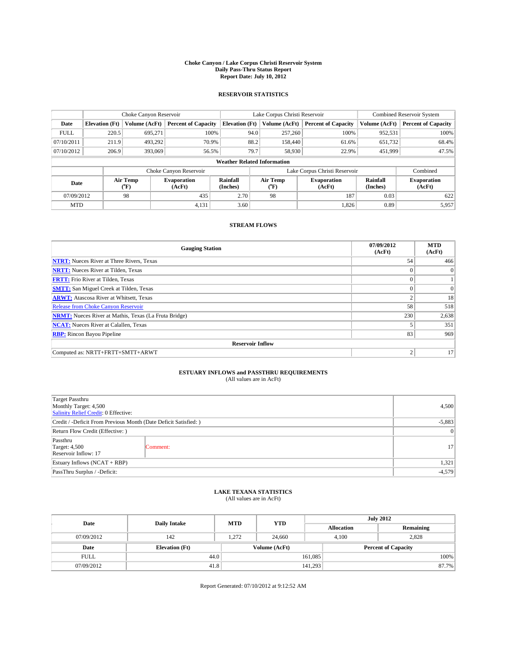#### **Choke Canyon / Lake Corpus Christi Reservoir System Daily Pass-Thru Status Report Report Date: July 10, 2012**

### **RESERVOIR STATISTICS**

|             |                                    | Choke Canyon Reservoir               |                              |                       | Lake Corpus Christi Reservoir | <b>Combined Reservoir System</b> |                      |                              |  |
|-------------|------------------------------------|--------------------------------------|------------------------------|-----------------------|-------------------------------|----------------------------------|----------------------|------------------------------|--|
| Date        | <b>Elevation</b> (Ft)              | Volume (AcFt)                        | <b>Percent of Capacity</b>   | <b>Elevation (Ft)</b> | Volume (AcFt)                 | <b>Percent of Capacity</b>       | Volume (AcFt)        | Percent of Capacity          |  |
| <b>FULL</b> | 220.5                              | 695,271                              | 100%                         |                       | 94.0<br>257,260               | 100%                             | 952,531              | 100%                         |  |
| 07/10/2011  | 211.9                              | 493,292                              | 70.9%                        |                       | 88.2<br>158,440               | 61.6%                            | 651,732              | 68.4%                        |  |
| 07/10/2012  | 206.9                              | 393,069                              | 56.5%                        | 79.7                  | 58,930                        | 22.9%                            | 451,999              | 47.5%                        |  |
|             | <b>Weather Related Information</b> |                                      |                              |                       |                               |                                  |                      |                              |  |
|             |                                    |                                      | Choke Canyon Reservoir       |                       |                               | Lake Corpus Christi Reservoir    |                      | Combined                     |  |
| Date        |                                    | Air Temp<br>$({}^{\circ}\mathrm{F})$ | <b>Evaporation</b><br>(AcFt) | Rainfall<br>(Inches)  | Air Temp<br>("F)              | <b>Evaporation</b><br>(AcFt)     | Rainfall<br>(Inches) | <b>Evaporation</b><br>(AcFt) |  |
| 07/09/2012  |                                    | 98                                   | 435                          | 2.70                  | 98                            | 187                              | 0.03                 | 622                          |  |
| <b>MTD</b>  |                                    |                                      | 4,131                        | 3.60                  |                               | 1,826                            | 0.89                 | 5,957                        |  |

### **STREAM FLOWS**

| <b>Gauging Station</b>                                       | 07/09/2012<br>(AcFt) | <b>MTD</b><br>(AcFt) |  |  |  |  |  |
|--------------------------------------------------------------|----------------------|----------------------|--|--|--|--|--|
| <b>NTRT:</b> Nueces River at Three Rivers, Texas             | 54                   | 466                  |  |  |  |  |  |
| <b>NRTT:</b> Nueces River at Tilden, Texas                   |                      | $\overline{0}$       |  |  |  |  |  |
| <b>FRTT:</b> Frio River at Tilden, Texas                     |                      |                      |  |  |  |  |  |
| <b>SMTT:</b> San Miguel Creek at Tilden, Texas               | $\Omega$             | $\Omega$             |  |  |  |  |  |
| <b>ARWT:</b> Atascosa River at Whitsett, Texas               | $\overline{2}$       | 18                   |  |  |  |  |  |
| <b>Release from Choke Canyon Reservoir</b>                   | 58                   | 518                  |  |  |  |  |  |
| <b>NRMT:</b> Nueces River at Mathis, Texas (La Fruta Bridge) | 230                  | 2,638                |  |  |  |  |  |
| <b>NCAT:</b> Nueces River at Calallen, Texas                 |                      | 351                  |  |  |  |  |  |
| <b>RBP:</b> Rincon Bayou Pipeline                            | 83                   | 969                  |  |  |  |  |  |
| <b>Reservoir Inflow</b>                                      |                      |                      |  |  |  |  |  |
| Computed as: NRTT+FRTT+SMTT+ARWT                             | $\overline{2}$       | 17                   |  |  |  |  |  |

# **ESTUARY INFLOWS and PASSTHRU REQUIREMENTS**<br>(All values are in AcFt)

| Target Passthru<br>Monthly Target: 4,500<br>Salinity Relief Credit: 0 Effective: | 4,500     |                 |
|----------------------------------------------------------------------------------|-----------|-----------------|
| Credit / -Deficit From Previous Month (Date Deficit Satisfied: )                 | $-5,883$  |                 |
| Return Flow Credit (Effective: )                                                 | $\vert$ 0 |                 |
| Passthru<br><b>Target: 4,500</b><br>Reservoir Inflow: 17                         | Comment:  | 17 <sup>1</sup> |
| Estuary Inflows (NCAT + RBP)                                                     | 1,321     |                 |
| PassThru Surplus / -Deficit:                                                     | $-4,579$  |                 |

## **LAKE TEXANA STATISTICS** (All values are in AcFt)

| Date        | <b>Daily Intake</b>   | <b>MTD</b> | <b>YTD</b>    | <b>July 2012</b>  |                            |           |  |
|-------------|-----------------------|------------|---------------|-------------------|----------------------------|-----------|--|
|             |                       |            |               | <b>Allocation</b> |                            | Remaining |  |
| 07/09/2012  | 142                   | 1,272      | 24.660        |                   | 2,828<br>4,100             |           |  |
| Date        | <b>Elevation</b> (Ft) |            | Volume (AcFt) |                   | <b>Percent of Capacity</b> |           |  |
| <b>FULL</b> | 44.0                  |            |               | 161,085           |                            | 100%      |  |
| 07/09/2012  | 41.8                  |            |               | 141,293           |                            | 87.7%     |  |

Report Generated: 07/10/2012 at 9:12:52 AM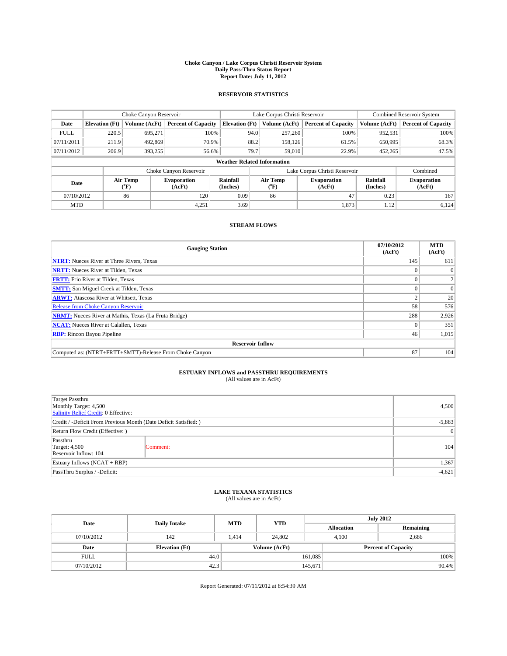#### **Choke Canyon / Lake Corpus Christi Reservoir System Daily Pass-Thru Status Report Report Date: July 11, 2012**

### **RESERVOIR STATISTICS**

|             |                                    | Choke Canyon Reservoir |                            |                       | Lake Corpus Christi Reservoir | <b>Combined Reservoir System</b> |                      |                              |  |  |
|-------------|------------------------------------|------------------------|----------------------------|-----------------------|-------------------------------|----------------------------------|----------------------|------------------------------|--|--|
| Date        | <b>Elevation</b> (Ft)              | Volume (AcFt)          | <b>Percent of Capacity</b> | <b>Elevation</b> (Ft) | Volume (AcFt)                 | <b>Percent of Capacity</b>       | Volume (AcFt)        | Percent of Capacity          |  |  |
| <b>FULL</b> | 220.5                              | 695,271                | 100%                       |                       | 257,260<br>94.0               | 100%                             | 952,531              | 100%                         |  |  |
| 07/11/2011  | 211.9                              | 492,869                | 70.9%                      |                       | 88.2<br>158,126               | 61.5%                            | 650,995              | 68.3%                        |  |  |
| 07/11/2012  | 206.9                              | 393,255                | 56.6%                      |                       | 79.7<br>59,010                | 22.9%                            | 452,265              | 47.5%                        |  |  |
|             | <b>Weather Related Information</b> |                        |                            |                       |                               |                                  |                      |                              |  |  |
|             |                                    |                        | Choke Canyon Reservoir     |                       |                               | Lake Corpus Christi Reservoir    |                      | Combined                     |  |  |
| Date        |                                    | Air Temp<br>(°F)       | Evaporation<br>(AcFt)      | Rainfall<br>(Inches)  | Air Temp<br>("F)              | <b>Evaporation</b><br>(AcFt)     | Rainfall<br>(Inches) | <b>Evaporation</b><br>(AcFt) |  |  |
| 07/10/2012  |                                    | 86                     | 0.09<br>120<br>86          |                       | 47                            | 0.23                             | 167                  |                              |  |  |
| <b>MTD</b>  |                                    |                        | 4,251                      | 3.69                  |                               | 1,873                            | 1.12                 | 6,124                        |  |  |

### **STREAM FLOWS**

| <b>Gauging Station</b>                                       | 07/10/2012<br>(AcFt) | <b>MTD</b><br>(AcFt) |  |  |  |  |
|--------------------------------------------------------------|----------------------|----------------------|--|--|--|--|
| <b>NTRT:</b> Nueces River at Three Rivers, Texas             | 145                  | 611                  |  |  |  |  |
| <b>NRTT:</b> Nueces River at Tilden, Texas                   |                      |                      |  |  |  |  |
| <b>FRTT:</b> Frio River at Tilden, Texas                     |                      |                      |  |  |  |  |
| <b>SMTT:</b> San Miguel Creek at Tilden, Texas               |                      | $\Omega$             |  |  |  |  |
| <b>ARWT:</b> Atascosa River at Whitsett, Texas               |                      | 20                   |  |  |  |  |
| Release from Choke Canyon Reservoir                          | 58                   | 576                  |  |  |  |  |
| <b>NRMT:</b> Nueces River at Mathis, Texas (La Fruta Bridge) | 288                  | 2,926                |  |  |  |  |
| <b>NCAT:</b> Nueces River at Calallen, Texas                 |                      | 351                  |  |  |  |  |
| <b>RBP:</b> Rincon Bayou Pipeline                            | 46                   | 1,015                |  |  |  |  |
| <b>Reservoir Inflow</b>                                      |                      |                      |  |  |  |  |
| Computed as: (NTRT+FRTT+SMTT)-Release From Choke Canyon      | 87                   | 104                  |  |  |  |  |

# **ESTUARY INFLOWS and PASSTHRU REQUIREMENTS**<br>(All values are in AcFt)

| Target Passthru<br>Monthly Target: 4,500<br>Salinity Relief Credit: 0 Effective: | 4,500    |     |  |  |
|----------------------------------------------------------------------------------|----------|-----|--|--|
| Credit / -Deficit From Previous Month (Date Deficit Satisfied: )                 |          |     |  |  |
| Return Flow Credit (Effective: )                                                 |          |     |  |  |
| Passthru<br><b>Target: 4,500</b><br>Reservoir Inflow: 104                        | Comment: | 104 |  |  |
| Estuary Inflows $(NCAT + RBP)$                                                   |          |     |  |  |
| PassThru Surplus / -Deficit:                                                     | $-4,621$ |     |  |  |

## **LAKE TEXANA STATISTICS** (All values are in AcFt)

| Date        | <b>Daily Intake</b>   | <b>MTD</b> | <b>YTD</b>    | <b>July 2012</b>  |                            |           |  |
|-------------|-----------------------|------------|---------------|-------------------|----------------------------|-----------|--|
|             |                       |            |               | <b>Allocation</b> |                            | Remaining |  |
| 07/10/2012  | 142                   | 1.414      | 24,802        |                   | 2,686<br>4,100             |           |  |
| Date        | <b>Elevation</b> (Ft) |            | Volume (AcFt) |                   | <b>Percent of Capacity</b> |           |  |
| <b>FULL</b> | 44.0                  |            |               | 161,085           |                            | 100%      |  |
| 07/10/2012  | 42.3                  |            |               | 145,671           |                            | 90.4%     |  |

Report Generated: 07/11/2012 at 8:54:39 AM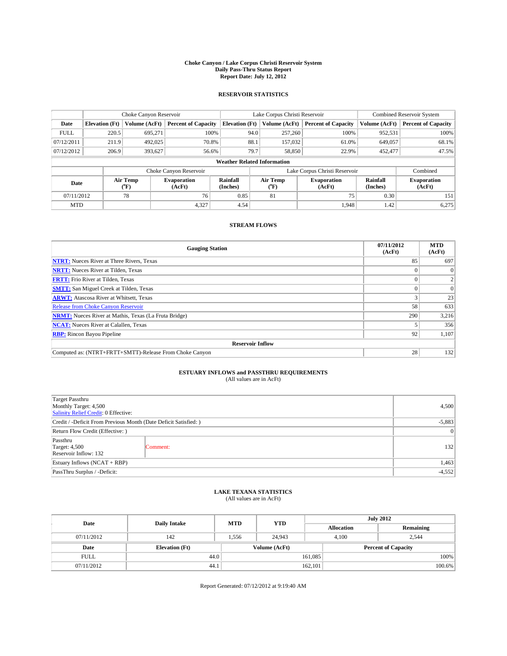#### **Choke Canyon / Lake Corpus Christi Reservoir System Daily Pass-Thru Status Report Report Date: July 12, 2012**

### **RESERVOIR STATISTICS**

|             |                                    | Choke Canyon Reservoir |                              |                       | Lake Corpus Christi Reservoir | <b>Combined Reservoir System</b> |               |                              |  |  |
|-------------|------------------------------------|------------------------|------------------------------|-----------------------|-------------------------------|----------------------------------|---------------|------------------------------|--|--|
| Date        | <b>Elevation</b> (Ft)              | Volume (AcFt)          | <b>Percent of Capacity</b>   | <b>Elevation (Ft)</b> | Volume (AcFt)                 | <b>Percent of Capacity</b>       | Volume (AcFt) | <b>Percent of Capacity</b>   |  |  |
| <b>FULL</b> | 220.5                              | 695,271                | 100%                         | 94.0                  | 257,260                       | 100%                             | 952,531       | 100%                         |  |  |
| 07/12/2011  | 211.9                              | 492,025                | 70.8%                        | 88.1                  | 157,032                       | 61.0%                            | 649,057       | 68.1%                        |  |  |
| 07/12/2012  | 206.9                              | 393,627                | 56.6%                        | 79.7                  | 58,850                        | 22.9%                            | 452,477       | 47.5%                        |  |  |
|             | <b>Weather Related Information</b> |                        |                              |                       |                               |                                  |               |                              |  |  |
|             |                                    |                        | Choke Canyon Reservoir       |                       |                               | Lake Corpus Christi Reservoir    |               | Combined                     |  |  |
| Date        |                                    | Air Temp<br>(°F)       | <b>Evaporation</b><br>(AcFt) | Rainfall<br>(Inches)  | Air Temp<br>(°F)              | <b>Evaporation</b><br>(AcFt)     |               | <b>Evaporation</b><br>(AcFt) |  |  |
| 07/11/2012  |                                    | 78                     | 76                           | 0.85                  | 81                            | 75                               | 0.30          | 151                          |  |  |
| <b>MTD</b>  |                                    |                        | 4,327                        | 4.54                  |                               | 1.948                            | 1.42          | 6,275                        |  |  |

### **STREAM FLOWS**

| <b>Gauging Station</b>                                       | 07/11/2012<br>(AcFt) | <b>MTD</b><br>(AcFt) |  |  |  |  |
|--------------------------------------------------------------|----------------------|----------------------|--|--|--|--|
| <b>NTRT:</b> Nueces River at Three Rivers, Texas             | 85                   | 697                  |  |  |  |  |
| <b>NRTT:</b> Nueces River at Tilden, Texas                   |                      |                      |  |  |  |  |
| <b>FRTT:</b> Frio River at Tilden, Texas                     |                      |                      |  |  |  |  |
| <b>SMTT:</b> San Miguel Creek at Tilden, Texas               |                      | $\Omega$             |  |  |  |  |
| <b>ARWT:</b> Atascosa River at Whitsett, Texas               |                      | 23                   |  |  |  |  |
| Release from Choke Canyon Reservoir                          | 58                   | 633                  |  |  |  |  |
| <b>NRMT:</b> Nueces River at Mathis, Texas (La Fruta Bridge) | 290                  | 3,216                |  |  |  |  |
| <b>NCAT:</b> Nueces River at Calallen, Texas                 |                      | 356                  |  |  |  |  |
| <b>RBP:</b> Rincon Bayou Pipeline                            | 92 <sub>1</sub>      | 1,107                |  |  |  |  |
| <b>Reservoir Inflow</b>                                      |                      |                      |  |  |  |  |
| Computed as: (NTRT+FRTT+SMTT)-Release From Choke Canyon      | 28                   | 132                  |  |  |  |  |

# **ESTUARY INFLOWS and PASSTHRU REQUIREMENTS**<br>(All values are in AcFt)

| Target Passthru<br>Monthly Target: 4,500<br>Salinity Relief Credit: 0 Effective: | 4,500           |     |  |  |
|----------------------------------------------------------------------------------|-----------------|-----|--|--|
| Credit / -Deficit From Previous Month (Date Deficit Satisfied: )                 |                 |     |  |  |
| Return Flow Credit (Effective: )                                                 | $\vert 0 \vert$ |     |  |  |
| Passthru<br><b>Target: 4,500</b><br>Reservoir Inflow: 132                        | Comment:        | 132 |  |  |
| Estuary Inflows $(NCAT + RBP)$                                                   |                 |     |  |  |
| PassThru Surplus / -Deficit:                                                     | $-4,552$        |     |  |  |

## **LAKE TEXANA STATISTICS** (All values are in AcFt)

| Date        | <b>Daily Intake</b>   | <b>MTD</b> | <b>YTD</b>    | <b>July 2012</b>  |                            |           |  |
|-------------|-----------------------|------------|---------------|-------------------|----------------------------|-----------|--|
|             |                       |            |               | <b>Allocation</b> |                            | Remaining |  |
| 07/11/2012  | 142                   | 1,556      | 24.943        |                   | 4,100<br>2.544             |           |  |
| Date        | <b>Elevation</b> (Ft) |            | Volume (AcFt) |                   | <b>Percent of Capacity</b> |           |  |
| <b>FULL</b> | 44.0                  |            |               | 161,085           |                            | 100%      |  |
| 07/11/2012  | 44.1                  |            |               | 162,101           |                            | 100.6%    |  |

Report Generated: 07/12/2012 at 9:19:40 AM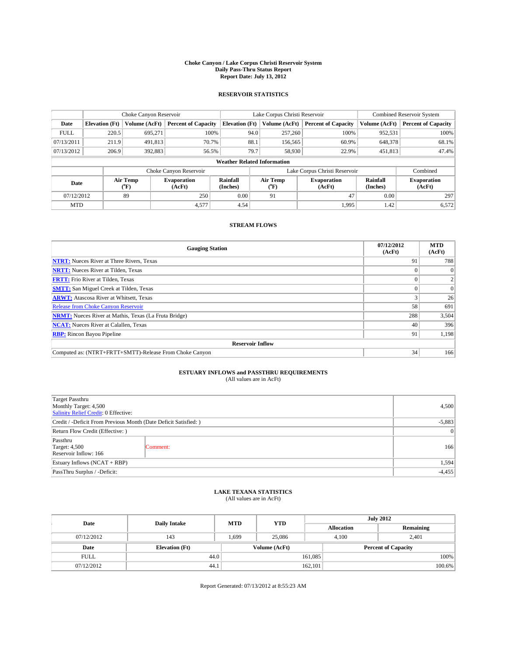#### **Choke Canyon / Lake Corpus Christi Reservoir System Daily Pass-Thru Status Report Report Date: July 13, 2012**

### **RESERVOIR STATISTICS**

|             | Choke Canyon Reservoir             |                  | Lake Corpus Christi Reservoir |                       |      |                  | Combined Reservoir System     |                      |                              |
|-------------|------------------------------------|------------------|-------------------------------|-----------------------|------|------------------|-------------------------------|----------------------|------------------------------|
| Date        | <b>Elevation</b> (Ft)              | Volume (AcFt)    | <b>Percent of Capacity</b>    | <b>Elevation (Ft)</b> |      | Volume (AcFt)    | <b>Percent of Capacity</b>    | Volume (AcFt)        | <b>Percent of Capacity</b>   |
| <b>FULL</b> | 220.5                              | 695,271          | 100%                          |                       | 94.0 | 257,260          | 100%                          | 952,531              | 100%                         |
| 07/13/2011  | 211.9                              | 491,813          | 70.7%                         |                       | 88.1 | 156,565          | 60.9%                         | 648,378              | 68.1%                        |
| 07/13/2012  | 206.9                              | 392,883          | 56.5%                         |                       | 79.7 | 58,930           | 22.9%                         | 451,813              | 47.4%                        |
|             | <b>Weather Related Information</b> |                  |                               |                       |      |                  |                               |                      |                              |
|             |                                    |                  | Choke Canyon Reservoir        |                       |      |                  | Lake Corpus Christi Reservoir |                      | Combined                     |
| Date        |                                    | Air Temp<br>(°F) | <b>Evaporation</b><br>(AcFt)  | Rainfall<br>(Inches)  |      | Air Temp<br>("F) | <b>Evaporation</b><br>(AcFt)  | Rainfall<br>(Inches) | <b>Evaporation</b><br>(AcFt) |
| 07/12/2012  |                                    | 89               | 0.00<br>47<br>250<br>91       |                       | 0.00 | 297              |                               |                      |                              |
| <b>MTD</b>  |                                    |                  | 4,577                         | 4.54                  |      |                  | 1.995                         | 1.42                 | 6,572                        |

### **STREAM FLOWS**

| <b>Gauging Station</b>                                       | 07/12/2012<br>(AcFt) | <b>MTD</b><br>(AcFt) |  |  |  |  |
|--------------------------------------------------------------|----------------------|----------------------|--|--|--|--|
| <b>NTRT:</b> Nueces River at Three Rivers, Texas             | 91                   | 788                  |  |  |  |  |
| <b>NRTT:</b> Nueces River at Tilden, Texas                   |                      | $\theta$             |  |  |  |  |
| <b>FRTT:</b> Frio River at Tilden, Texas                     |                      |                      |  |  |  |  |
| <b>SMTT:</b> San Miguel Creek at Tilden, Texas               |                      | $\Omega$             |  |  |  |  |
| <b>ARWT:</b> Atascosa River at Whitsett, Texas               |                      | 26                   |  |  |  |  |
| Release from Choke Canyon Reservoir                          | 58                   | 691                  |  |  |  |  |
| <b>NRMT:</b> Nueces River at Mathis, Texas (La Fruta Bridge) | 288                  | 3,504                |  |  |  |  |
| <b>NCAT:</b> Nueces River at Calallen, Texas                 | 40                   | 396                  |  |  |  |  |
| <b>RBP:</b> Rincon Bayou Pipeline                            | 91                   | 1,198                |  |  |  |  |
| <b>Reservoir Inflow</b>                                      |                      |                      |  |  |  |  |
| Computed as: (NTRT+FRTT+SMTT)-Release From Choke Canyon      | 34                   | 166                  |  |  |  |  |

# **ESTUARY INFLOWS and PASSTHRU REQUIREMENTS**<br>(All values are in AcFt)

| Target Passthru<br>Monthly Target: 4,500<br>Salinity Relief Credit: 0 Effective: |           |     |  |  |
|----------------------------------------------------------------------------------|-----------|-----|--|--|
| Credit / -Deficit From Previous Month (Date Deficit Satisfied: )                 | $-5,883$  |     |  |  |
| Return Flow Credit (Effective: )                                                 | $\vert$ 0 |     |  |  |
| Passthru<br><b>Target: 4,500</b><br>Reservoir Inflow: 166                        | Comment:  | 166 |  |  |
| Estuary Inflows (NCAT + RBP)                                                     | 1,594     |     |  |  |
| PassThru Surplus / -Deficit:                                                     | $-4,455$  |     |  |  |

## **LAKE TEXANA STATISTICS** (All values are in AcFt)

| Date        | <b>Daily Intake</b>   | <b>MTD</b> | <b>YTD</b>    | <b>July 2012</b> |                            |           |  |
|-------------|-----------------------|------------|---------------|------------------|----------------------------|-----------|--|
|             |                       |            |               |                  | <b>Allocation</b>          | Remaining |  |
| 07/12/2012  | 143                   | 1,699      | 25,086        |                  | 2,401<br>4,100             |           |  |
| Date        | <b>Elevation</b> (Ft) |            | Volume (AcFt) |                  | <b>Percent of Capacity</b> |           |  |
| <b>FULL</b> | 44.0                  |            |               | 161,085          |                            | 100%      |  |
| 07/12/2012  | 44.1                  |            |               | 162,101          |                            | 100.6%    |  |

Report Generated: 07/13/2012 at 8:55:23 AM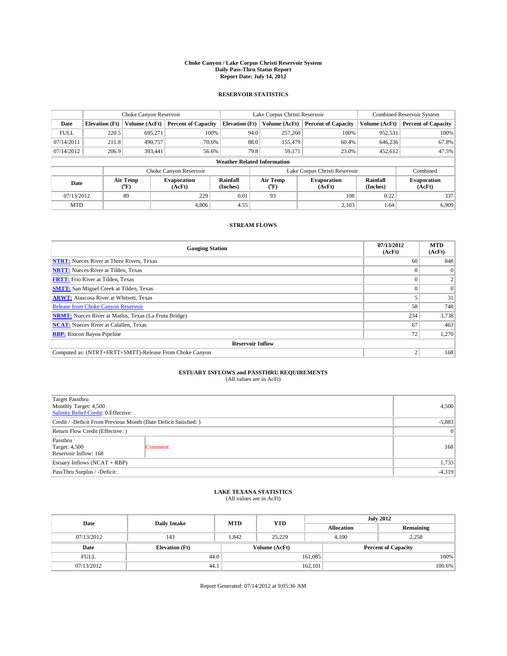#### **Choke Canyon / Lake Corpus Christi Reservoir System Daily Pass-Thru Status Report Report Date: July 14, 2012**

### **RESERVOIR STATISTICS**

|             |                                    | Choke Canyon Reservoir |                              |                       | Lake Corpus Christi Reservoir | <b>Combined Reservoir System</b> |                      |                              |  |
|-------------|------------------------------------|------------------------|------------------------------|-----------------------|-------------------------------|----------------------------------|----------------------|------------------------------|--|
| Date        | <b>Elevation</b> (Ft)              | Volume (AcFt)          | <b>Percent of Capacity</b>   | <b>Elevation (Ft)</b> | Volume (AcFt)                 | <b>Percent of Capacity</b>       | Volume (AcFt)        | <b>Percent of Capacity</b>   |  |
| <b>FULL</b> | 220.5                              | 695,271                | 100%                         | 94.0                  | 257,260                       | 100%                             | 952,531              | 100%                         |  |
| 07/14/2011  | 211.8                              | 490,757                | 70.6%                        | 88.0                  | 155,479                       | 60.4%                            | 646,236              | 67.8%                        |  |
| 07/14/2012  | 206.9                              | 393.441                | 56.6%                        | 79.8                  | 59,171                        | 23.0%                            | 452,612              | 47.5%                        |  |
|             | <b>Weather Related Information</b> |                        |                              |                       |                               |                                  |                      |                              |  |
|             |                                    |                        | Choke Canyon Reservoir       |                       |                               | Lake Corpus Christi Reservoir    |                      | Combined                     |  |
| Date        |                                    | Air Temp<br>(°F)       | <b>Evaporation</b><br>(AcFt) | Rainfall<br>(Inches)  | Air Temp<br>(°F)              | <b>Evaporation</b><br>(AcFt)     | Rainfall<br>(Inches) | <b>Evaporation</b><br>(AcFt) |  |
| 07/13/2012  |                                    | 89                     | 229                          | 0.01                  | 93                            | 108                              | 0.22                 | 337                          |  |
| <b>MTD</b>  |                                    |                        | 4.806                        | 4.55                  |                               | 2,103                            | 1.64                 | 6.909                        |  |

### **STREAM FLOWS**

| <b>Gauging Station</b>                                       | 07/13/2012<br>(AcFt) | <b>MTD</b><br>(AcFt) |  |  |  |
|--------------------------------------------------------------|----------------------|----------------------|--|--|--|
| <b>NTRT:</b> Nueces River at Three Rivers, Texas             | 60                   | 848                  |  |  |  |
| <b>NRTT:</b> Nueces River at Tilden, Texas                   |                      |                      |  |  |  |
| <b>FRTT:</b> Frio River at Tilden, Texas                     |                      |                      |  |  |  |
| <b>SMTT:</b> San Miguel Creek at Tilden, Texas               |                      | $\Omega$             |  |  |  |
| <b>ARWT:</b> Atascosa River at Whitsett, Texas               |                      | 31                   |  |  |  |
| Release from Choke Canyon Reservoir                          | 58                   | 748                  |  |  |  |
| <b>NRMT:</b> Nueces River at Mathis, Texas (La Fruta Bridge) | 234                  | 3,738                |  |  |  |
| <b>NCAT:</b> Nueces River at Calallen, Texas                 | 67                   | 463                  |  |  |  |
| <b>RBP:</b> Rincon Bayou Pipeline                            | 72 <sub>1</sub>      | 1,270                |  |  |  |
| <b>Reservoir Inflow</b>                                      |                      |                      |  |  |  |
| Computed as: (NTRT+FRTT+SMTT)-Release From Choke Canyon      | $\overline{c}$       | 168                  |  |  |  |

# **ESTUARY INFLOWS and PASSTHRU REQUIREMENTS**<br>(All values are in AcFt)

| Target Passthru<br>Monthly Target: 4,500<br>Salinity Relief Credit: 0 Effective: |                 |     |  |  |
|----------------------------------------------------------------------------------|-----------------|-----|--|--|
| Credit / -Deficit From Previous Month (Date Deficit Satisfied: )                 |                 |     |  |  |
| Return Flow Credit (Effective: )                                                 | $\vert 0 \vert$ |     |  |  |
| Passthru<br><b>Target: 4,500</b><br>Reservoir Inflow: 168                        | Comment:        | 168 |  |  |
| Estuary Inflows $(NCAT + RBP)$                                                   |                 |     |  |  |
| PassThru Surplus / -Deficit:                                                     | $-4,319$        |     |  |  |

## **LAKE TEXANA STATISTICS** (All values are in AcFt)

| Date        | <b>Daily Intake</b>   | <b>MTD</b> | <b>YTD</b>    | <b>July 2012</b>  |                            |           |  |
|-------------|-----------------------|------------|---------------|-------------------|----------------------------|-----------|--|
|             |                       |            |               | <b>Allocation</b> |                            | Remaining |  |
| 07/13/2012  | 143                   | 1.842      | 25,229        | 4,100             | 2,258                      |           |  |
| Date        | <b>Elevation</b> (Ft) |            | Volume (AcFt) |                   | <b>Percent of Capacity</b> |           |  |
| <b>FULL</b> | 44.0                  |            |               | 161,085           |                            | 100%      |  |
| 07/13/2012  | 44.1                  |            |               | 162,101           |                            | 100.6%    |  |

Report Generated: 07/14/2012 at 9:05:36 AM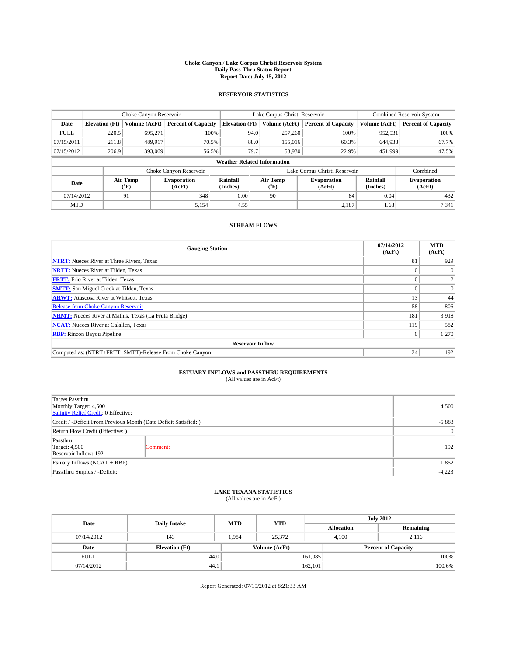#### **Choke Canyon / Lake Corpus Christi Reservoir System Daily Pass-Thru Status Report Report Date: July 15, 2012**

### **RESERVOIR STATISTICS**

|             | Choke Canyon Reservoir             |                  | Lake Corpus Christi Reservoir |                       |      |                       | Combined Reservoir System     |                      |                              |
|-------------|------------------------------------|------------------|-------------------------------|-----------------------|------|-----------------------|-------------------------------|----------------------|------------------------------|
| Date        | <b>Elevation</b> (Ft)              | Volume (AcFt)    | <b>Percent of Capacity</b>    | <b>Elevation (Ft)</b> |      | Volume (AcFt)         | <b>Percent of Capacity</b>    | Volume (AcFt)        | <b>Percent of Capacity</b>   |
| <b>FULL</b> | 220.5                              | 695,271          | 100%                          |                       | 94.0 | 257,260               | 100%                          | 952,531              | 100%                         |
| 07/15/2011  | 211.8                              | 489,917          | 70.5%                         |                       | 88.0 | 155,016               | 60.3%                         | 644,933              | 67.7%                        |
| 07/15/2012  | 206.9                              | 393,069          | 56.5%                         |                       | 79.7 | 58,930                | 22.9%                         | 451,999              | 47.5%                        |
|             | <b>Weather Related Information</b> |                  |                               |                       |      |                       |                               |                      |                              |
|             |                                    |                  | Choke Canyon Reservoir        |                       |      |                       | Lake Corpus Christi Reservoir |                      | Combined                     |
| Date        |                                    | Air Temp<br>(°F) | <b>Evaporation</b><br>(AcFt)  | Rainfall<br>(Inches)  |      | Air Temp<br>$(^{0}F)$ | <b>Evaporation</b><br>(AcFt)  | Rainfall<br>(Inches) | <b>Evaporation</b><br>(AcFt) |
| 07/14/2012  |                                    | 91               | 348                           | 0.00                  |      | 90                    | 84                            | 0.04                 | 432                          |
| <b>MTD</b>  |                                    |                  | 5,154                         | 4.55                  |      |                       | 2,187                         | 1.68                 | 7,341                        |

### **STREAM FLOWS**

| <b>Gauging Station</b>                                       | 07/14/2012<br>(AcFt) | <b>MTD</b><br>(AcFt) |  |  |  |  |
|--------------------------------------------------------------|----------------------|----------------------|--|--|--|--|
| <b>NTRT:</b> Nueces River at Three Rivers, Texas             | 81                   | 929                  |  |  |  |  |
| <b>NRTT:</b> Nueces River at Tilden, Texas                   |                      | $\theta$             |  |  |  |  |
| <b>FRTT:</b> Frio River at Tilden, Texas                     |                      |                      |  |  |  |  |
| <b>SMTT:</b> San Miguel Creek at Tilden, Texas               |                      | $\overline{0}$       |  |  |  |  |
| <b>ARWT:</b> Atascosa River at Whitsett, Texas               | 13                   | 44                   |  |  |  |  |
| Release from Choke Canyon Reservoir                          | 58                   | 806                  |  |  |  |  |
| <b>NRMT:</b> Nueces River at Mathis, Texas (La Fruta Bridge) | 181                  | 3,918                |  |  |  |  |
| <b>NCAT:</b> Nueces River at Calallen, Texas                 | 119                  | 582                  |  |  |  |  |
| <b>RBP:</b> Rincon Bayou Pipeline                            | $\theta$             | 1,270                |  |  |  |  |
| <b>Reservoir Inflow</b>                                      |                      |                      |  |  |  |  |
| Computed as: (NTRT+FRTT+SMTT)-Release From Choke Canyon      | 24                   | 192                  |  |  |  |  |

# **ESTUARY INFLOWS and PASSTHRU REQUIREMENTS**<br>(All values are in AcFt)

| Target Passthru<br>Monthly Target: 4,500<br>Salinity Relief Credit: 0 Effective: |           |     |  |  |
|----------------------------------------------------------------------------------|-----------|-----|--|--|
| Credit / -Deficit From Previous Month (Date Deficit Satisfied: )                 | $-5,883$  |     |  |  |
| Return Flow Credit (Effective: )                                                 | $\vert$ 0 |     |  |  |
| Passthru<br><b>Target: 4,500</b><br>Reservoir Inflow: 192                        | Comment:  | 192 |  |  |
| Estuary Inflows (NCAT + RBP)                                                     | 1,852     |     |  |  |
| PassThru Surplus / -Deficit:                                                     | $-4,223$  |     |  |  |

## **LAKE TEXANA STATISTICS** (All values are in AcFt)

| Date        | <b>Daily Intake</b>   | <b>MTD</b> | <b>YTD</b>    | <b>July 2012</b>  |                            |           |  |
|-------------|-----------------------|------------|---------------|-------------------|----------------------------|-----------|--|
|             |                       |            |               | <b>Allocation</b> |                            | Remaining |  |
| 07/14/2012  | 143                   | 1,984      | 25,372        | 4,100             | 2,116                      |           |  |
| Date        | <b>Elevation</b> (Ft) |            | Volume (AcFt) |                   | <b>Percent of Capacity</b> |           |  |
| <b>FULL</b> | 44.0                  |            |               | 161,085           |                            | 100%      |  |
| 07/14/2012  | 44.1                  |            |               | 162,101           |                            | 100.6%    |  |

Report Generated: 07/15/2012 at 8:21:33 AM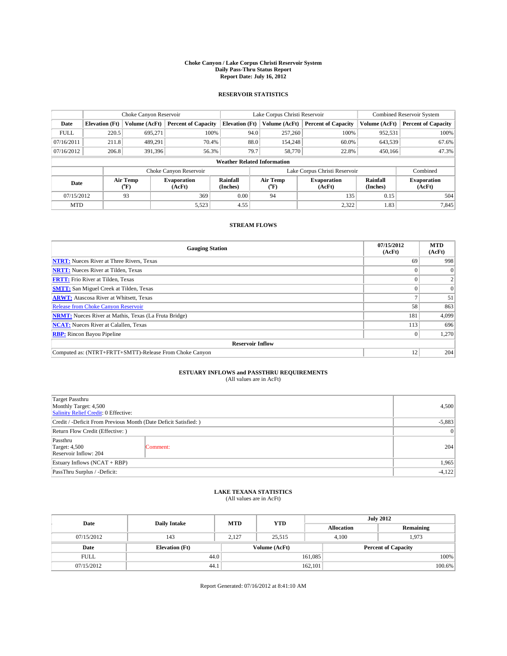#### **Choke Canyon / Lake Corpus Christi Reservoir System Daily Pass-Thru Status Report Report Date: July 16, 2012**

### **RESERVOIR STATISTICS**

|             |                                    | Choke Canyon Reservoir |                              |                       | Lake Corpus Christi Reservoir | <b>Combined Reservoir System</b> |               |                              |  |
|-------------|------------------------------------|------------------------|------------------------------|-----------------------|-------------------------------|----------------------------------|---------------|------------------------------|--|
| Date        | <b>Elevation</b> (Ft)              | Volume (AcFt)          | <b>Percent of Capacity</b>   | <b>Elevation</b> (Ft) | Volume (AcFt)                 | <b>Percent of Capacity</b>       | Volume (AcFt) | <b>Percent of Capacity</b>   |  |
| <b>FULL</b> | 220.5                              | 695,271                | 100%                         | 94.0                  | 257,260                       | 100%                             | 952,531       | 100%                         |  |
| 07/16/2011  | 211.8                              | 489,291                | 70.4%                        |                       | 88.0<br>154,248               | 60.0%                            | 643,539       | 67.6%                        |  |
| 07/16/2012  | 206.8                              | 391.396                | 56.3%                        | 79.7                  | 58,770                        | 22.8%                            | 450,166       | 47.3%                        |  |
|             | <b>Weather Related Information</b> |                        |                              |                       |                               |                                  |               |                              |  |
|             |                                    |                        | Choke Canyon Reservoir       |                       |                               | Lake Corpus Christi Reservoir    |               | Combined                     |  |
| Date        |                                    | Air Temp<br>(°F)       | <b>Evaporation</b><br>(AcFt) | Rainfall<br>(Inches)  | Air Temp<br>("F)              | <b>Evaporation</b><br>(AcFt)     |               | <b>Evaporation</b><br>(AcFt) |  |
|             | 93<br>07/15/2012                   |                        | 369                          | 0.00                  | 94                            | 135                              | 0.15          | 504                          |  |
| <b>MTD</b>  |                                    |                        | 5,523                        | 4.55                  |                               | 2,322                            | 1.83          | 7,845                        |  |

### **STREAM FLOWS**

| <b>Gauging Station</b>                                       | 07/15/2012<br>(AcFt) | <b>MTD</b><br>(AcFt) |  |  |  |  |
|--------------------------------------------------------------|----------------------|----------------------|--|--|--|--|
| <b>NTRT:</b> Nueces River at Three Rivers, Texas             | 69                   | 998                  |  |  |  |  |
| <b>NRTT:</b> Nueces River at Tilden, Texas                   |                      | $\theta$             |  |  |  |  |
| <b>FRTT:</b> Frio River at Tilden, Texas                     |                      |                      |  |  |  |  |
| <b>SMTT:</b> San Miguel Creek at Tilden, Texas               |                      | $\Omega$             |  |  |  |  |
| <b>ARWT:</b> Atascosa River at Whitsett, Texas               |                      | 51                   |  |  |  |  |
| Release from Choke Canyon Reservoir                          | 58                   | 863                  |  |  |  |  |
| <b>NRMT:</b> Nueces River at Mathis, Texas (La Fruta Bridge) | 181                  | 4,099                |  |  |  |  |
| <b>NCAT:</b> Nueces River at Calallen, Texas                 | 113                  | 696                  |  |  |  |  |
| <b>RBP:</b> Rincon Bayou Pipeline                            | $\theta$             | 1,270                |  |  |  |  |
| <b>Reservoir Inflow</b>                                      |                      |                      |  |  |  |  |
| Computed as: (NTRT+FRTT+SMTT)-Release From Choke Canyon      | 12                   | 204                  |  |  |  |  |

# **ESTUARY INFLOWS and PASSTHRU REQUIREMENTS**<br>(All values are in AcFt)

| Target Passthru<br>Monthly Target: 4,500<br>Salinity Relief Credit: 0 Effective: | 4,500     |     |
|----------------------------------------------------------------------------------|-----------|-----|
| Credit / -Deficit From Previous Month (Date Deficit Satisfied: )                 | $-5,883$  |     |
| Return Flow Credit (Effective: )                                                 | $\vert$ 0 |     |
| Passthru<br><b>Target: 4,500</b><br>Comment:<br>Reservoir Inflow: 204            |           | 204 |
| Estuary Inflows (NCAT + RBP)                                                     | 1,965     |     |
| PassThru Surplus / -Deficit:                                                     | $-4,122$  |     |

## **LAKE TEXANA STATISTICS** (All values are in AcFt)

| Date        | <b>Daily Intake</b>   | <b>MTD</b> | <b>YTD</b>    | <b>July 2012</b>  |                            |           |  |
|-------------|-----------------------|------------|---------------|-------------------|----------------------------|-----------|--|
|             |                       |            |               | <b>Allocation</b> |                            | Remaining |  |
| 07/15/2012  | 143                   | 2,127      | 25,515        |                   | 4,100<br>1,973             |           |  |
| Date        | <b>Elevation</b> (Ft) |            | Volume (AcFt) |                   | <b>Percent of Capacity</b> |           |  |
| <b>FULL</b> | 44.0                  |            |               | 161,085           |                            | 100%      |  |
| 07/15/2012  | 44.1                  |            |               | 162,101           |                            | 100.6%    |  |

Report Generated: 07/16/2012 at 8:41:10 AM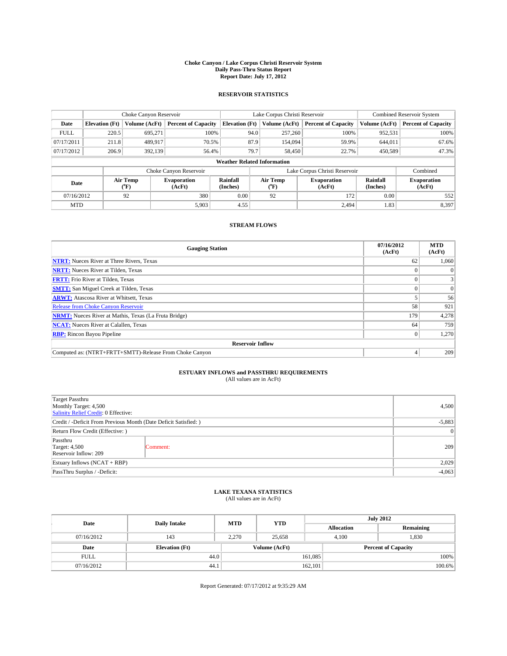#### **Choke Canyon / Lake Corpus Christi Reservoir System Daily Pass-Thru Status Report Report Date: July 17, 2012**

### **RESERVOIR STATISTICS**

|             |                                    | Choke Canyon Reservoir |                              |                       | Lake Corpus Christi Reservoir | Combined Reservoir System     |               |                              |  |
|-------------|------------------------------------|------------------------|------------------------------|-----------------------|-------------------------------|-------------------------------|---------------|------------------------------|--|
| Date        | <b>Elevation</b> (Ft)              | Volume (AcFt)          | <b>Percent of Capacity</b>   | <b>Elevation (Ft)</b> | Volume (AcFt)                 | <b>Percent of Capacity</b>    | Volume (AcFt) | <b>Percent of Capacity</b>   |  |
| <b>FULL</b> | 220.5                              | 695,271                | 100%                         | 94.0                  | 257,260                       | 100%                          | 952,531       | 100%                         |  |
| 07/17/2011  | 211.8                              | 489,917                | 70.5%                        | 87.9                  | 154,094                       | 59.9%                         | 644,011       | 67.6%                        |  |
| 07/17/2012  | 206.9                              | 392.139                | 56.4%                        | 79.7                  | 58,450                        | 22.7%                         | 450,589       | 47.3%                        |  |
|             | <b>Weather Related Information</b> |                        |                              |                       |                               |                               |               |                              |  |
|             |                                    |                        | Choke Canyon Reservoir       |                       |                               | Lake Corpus Christi Reservoir |               | Combined                     |  |
| Date        |                                    | Air Temp<br>(°F)       | <b>Evaporation</b><br>(AcFt) | Rainfall<br>(Inches)  | Air Temp<br>$(^{0}F)$         | <b>Evaporation</b><br>(AcFt)  |               | <b>Evaporation</b><br>(AcFt) |  |
| 07/16/2012  |                                    | 92                     | 380                          | 0.00                  | 92                            | 172                           | 0.00          | 552                          |  |
| <b>MTD</b>  |                                    |                        | 5,903                        | 4.55                  |                               | 2,494                         | 1.83          | 8,397                        |  |

### **STREAM FLOWS**

| <b>Gauging Station</b>                                       | 07/16/2012<br>(AcFt) | <b>MTD</b><br>(AcFt) |  |  |  |  |
|--------------------------------------------------------------|----------------------|----------------------|--|--|--|--|
| <b>NTRT:</b> Nueces River at Three Rivers, Texas             | 62                   | 1,060                |  |  |  |  |
| <b>NRTT:</b> Nueces River at Tilden, Texas                   |                      |                      |  |  |  |  |
| <b>FRTT:</b> Frio River at Tilden, Texas                     |                      |                      |  |  |  |  |
| <b>SMTT:</b> San Miguel Creek at Tilden, Texas               |                      | $\Omega$             |  |  |  |  |
| <b>ARWT:</b> Atascosa River at Whitsett, Texas               |                      | 56                   |  |  |  |  |
| Release from Choke Canyon Reservoir                          | 58                   | 921                  |  |  |  |  |
| <b>NRMT:</b> Nueces River at Mathis, Texas (La Fruta Bridge) | 179                  | 4,278                |  |  |  |  |
| <b>NCAT:</b> Nueces River at Calallen, Texas                 | 64                   | 759                  |  |  |  |  |
| <b>RBP:</b> Rincon Bayou Pipeline                            | $\Omega$             | 1,270                |  |  |  |  |
| <b>Reservoir Inflow</b>                                      |                      |                      |  |  |  |  |
| Computed as: (NTRT+FRTT+SMTT)-Release From Choke Canyon      |                      | 209                  |  |  |  |  |

# **ESTUARY INFLOWS and PASSTHRU REQUIREMENTS**<br>(All values are in AcFt)

| Target Passthru<br>Monthly Target: 4,500<br>Salinity Relief Credit: 0 Effective: | 4,500     |     |
|----------------------------------------------------------------------------------|-----------|-----|
| Credit / -Deficit From Previous Month (Date Deficit Satisfied: )                 | $-5,883$  |     |
| Return Flow Credit (Effective: )                                                 | $\vert$ 0 |     |
| Passthru<br><b>Target: 4,500</b><br>Reservoir Inflow: 209                        | Comment:  | 209 |
| Estuary Inflows (NCAT + RBP)                                                     | 2,029     |     |
| PassThru Surplus / -Deficit:                                                     | $-4,063$  |     |

## **LAKE TEXANA STATISTICS** (All values are in AcFt)

| Date        | <b>Daily Intake</b>   | <b>MTD</b> | <b>YTD</b>    | <b>July 2012</b>  |                            |           |  |
|-------------|-----------------------|------------|---------------|-------------------|----------------------------|-----------|--|
|             |                       |            |               | <b>Allocation</b> |                            | Remaining |  |
| 07/16/2012  | 143                   | 2.270      | 25.658        |                   | 1,830<br>4,100             |           |  |
| Date        | <b>Elevation</b> (Ft) |            | Volume (AcFt) |                   | <b>Percent of Capacity</b> |           |  |
| <b>FULL</b> | 44.0                  |            |               | 161,085           |                            | 100%      |  |
| 07/16/2012  | 44.1                  |            |               | 162,101           |                            | 100.6%    |  |

Report Generated: 07/17/2012 at 9:35:29 AM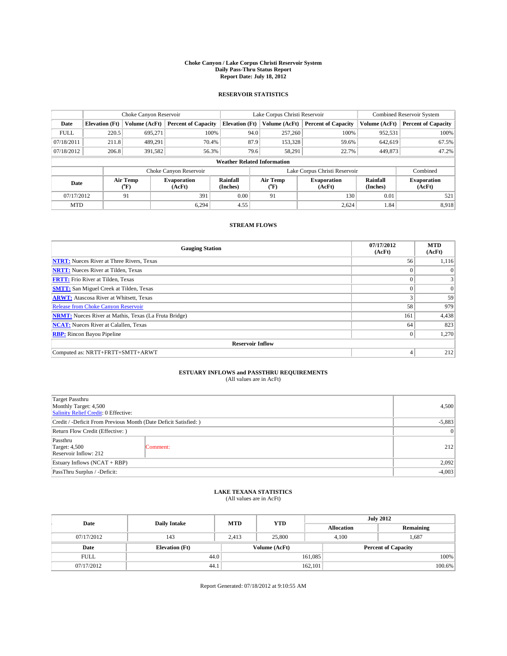#### **Choke Canyon / Lake Corpus Christi Reservoir System Daily Pass-Thru Status Report Report Date: July 18, 2012**

### **RESERVOIR STATISTICS**

|             |                                    | Choke Canyon Reservoir |                              |                       | Lake Corpus Christi Reservoir | Combined Reservoir System     |               |                              |  |
|-------------|------------------------------------|------------------------|------------------------------|-----------------------|-------------------------------|-------------------------------|---------------|------------------------------|--|
| Date        | <b>Elevation</b> (Ft)              | Volume (AcFt)          | <b>Percent of Capacity</b>   | <b>Elevation (Ft)</b> | Volume (AcFt)                 | <b>Percent of Capacity</b>    | Volume (AcFt) | <b>Percent of Capacity</b>   |  |
| <b>FULL</b> | 220.5                              | 695,271                | 100%                         |                       | 257,260<br>94.0               | 100%                          | 952,531       | 100%                         |  |
| 07/18/2011  | 211.8                              | 489,291                | 70.4%                        |                       | 87.9<br>153,328               | 59.6%                         | 642,619       | 67.5%                        |  |
| 07/18/2012  | 206.8                              | 391,582                | 56.3%                        |                       | 79.6<br>58,291                | 22.7%                         | 449,873       | 47.2%                        |  |
|             | <b>Weather Related Information</b> |                        |                              |                       |                               |                               |               |                              |  |
|             |                                    |                        | Choke Canyon Reservoir       |                       |                               | Lake Corpus Christi Reservoir |               | Combined                     |  |
| Date        |                                    | Air Temp<br>(°F)       | <b>Evaporation</b><br>(AcFt) | Rainfall<br>(Inches)  | Air Temp<br>("F)              | <b>Evaporation</b><br>(AcFt)  |               | <b>Evaporation</b><br>(AcFt) |  |
|             | 07/17/2012<br>91                   |                        | 391                          | 0.00                  | 91                            | 130                           | 0.01          | 521                          |  |
| <b>MTD</b>  |                                    |                        | 6.294                        | 4.55                  |                               | 2,624                         | 1.84          | 8,918                        |  |

### **STREAM FLOWS**

| <b>Gauging Station</b>                                       | 07/17/2012<br>(AcFt) | <b>MTD</b><br>(AcFt) |  |  |  |  |  |
|--------------------------------------------------------------|----------------------|----------------------|--|--|--|--|--|
| <b>NTRT:</b> Nueces River at Three Rivers, Texas             | 56                   | 1,116                |  |  |  |  |  |
| <b>NRTT:</b> Nueces River at Tilden, Texas                   |                      | $\Omega$             |  |  |  |  |  |
| <b>FRTT:</b> Frio River at Tilden, Texas                     | $\theta$             |                      |  |  |  |  |  |
| <b>SMTT:</b> San Miguel Creek at Tilden, Texas               |                      | $\Omega$             |  |  |  |  |  |
| <b>ARWT:</b> Atascosa River at Whitsett, Texas               | 3                    | 59                   |  |  |  |  |  |
| Release from Choke Canyon Reservoir                          | 58                   | 979                  |  |  |  |  |  |
| <b>NRMT:</b> Nueces River at Mathis, Texas (La Fruta Bridge) | 161                  | 4,438                |  |  |  |  |  |
| <b>NCAT:</b> Nueces River at Calallen, Texas                 | 64                   | 823                  |  |  |  |  |  |
| <b>RBP:</b> Rincon Bayou Pipeline                            | $\mathbf{0}$         | 1,270                |  |  |  |  |  |
| <b>Reservoir Inflow</b>                                      |                      |                      |  |  |  |  |  |
| Computed as: NRTT+FRTT+SMTT+ARWT                             | 4                    | 212                  |  |  |  |  |  |

# **ESTUARY INFLOWS and PASSTHRU REQUIREMENTS**<br>(All values are in AcFt)

| <b>Target Passthru</b><br>Monthly Target: 4,500<br>Salinity Relief Credit: 0 Effective: | 4,500           |     |
|-----------------------------------------------------------------------------------------|-----------------|-----|
| Credit / -Deficit From Previous Month (Date Deficit Satisfied: )                        | $-5,883$        |     |
| Return Flow Credit (Effective: )                                                        | $\vert 0 \vert$ |     |
| Passthru<br><b>Target: 4,500</b><br>Reservoir Inflow: 212                               | Comment:        | 212 |
| Estuary Inflows (NCAT + RBP)                                                            | 2,092           |     |
| PassThru Surplus / -Deficit:                                                            | $-4,003$        |     |

## **LAKE TEXANA STATISTICS** (All values are in AcFt)

| Date        | <b>Daily Intake</b>   | <b>MTD</b> | <b>YTD</b>    | <b>July 2012</b>  |                            |           |  |
|-------------|-----------------------|------------|---------------|-------------------|----------------------------|-----------|--|
|             |                       |            |               | <b>Allocation</b> |                            | Remaining |  |
| 07/17/2012  | 143                   | 2,413      | 25,800        |                   | 1,687<br>4,100             |           |  |
| Date        | <b>Elevation</b> (Ft) |            | Volume (AcFt) |                   | <b>Percent of Capacity</b> |           |  |
| <b>FULL</b> | 44.0                  |            |               | 161,085           |                            | 100%      |  |
| 07/17/2012  | 44.1                  |            |               | 162,101           |                            | 100.6%    |  |

Report Generated: 07/18/2012 at 9:10:55 AM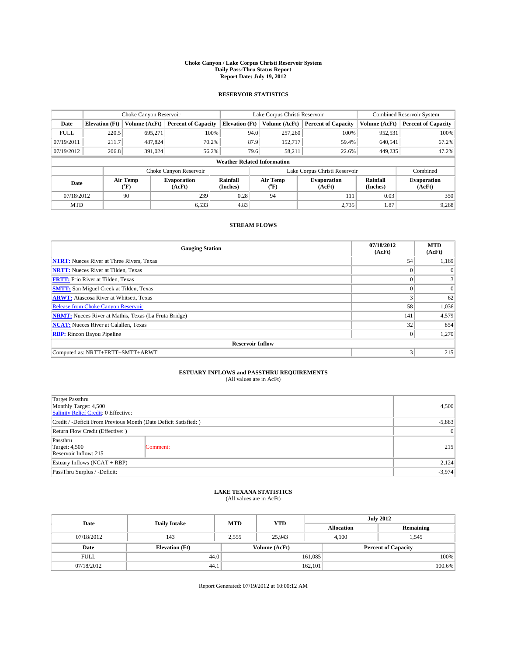#### **Choke Canyon / Lake Corpus Christi Reservoir System Daily Pass-Thru Status Report Report Date: July 19, 2012**

### **RESERVOIR STATISTICS**

|             | Choke Canyon Reservoir             |                                      |                              |                       | Lake Corpus Christi Reservoir | <b>Combined Reservoir System</b> |                      |                              |  |  |
|-------------|------------------------------------|--------------------------------------|------------------------------|-----------------------|-------------------------------|----------------------------------|----------------------|------------------------------|--|--|
| Date        | <b>Elevation</b> (Ft)              | Volume (AcFt)                        | <b>Percent of Capacity</b>   | <b>Elevation (Ft)</b> | Volume (AcFt)                 | <b>Percent of Capacity</b>       | Volume (AcFt)        | Percent of Capacity          |  |  |
| <b>FULL</b> | 220.5                              | 695,271                              | 100%                         | 94.0                  | 257,260                       | 100%                             | 952,531              | 100%                         |  |  |
| 07/19/2011  | 211.7                              | 487,824                              | 70.2%                        |                       | 87.9<br>152.717               | 59.4%                            | 640,541              | $67.2\%$                     |  |  |
| 07/19/2012  | 206.8                              | 391,024                              | 56.2%                        |                       | 79.6<br>58,211                | 22.6%                            | 449.235              | 47.2%                        |  |  |
|             | <b>Weather Related Information</b> |                                      |                              |                       |                               |                                  |                      |                              |  |  |
|             |                                    |                                      | Choke Canyon Reservoir       |                       |                               | Lake Corpus Christi Reservoir    |                      | Combined                     |  |  |
| Date        |                                    | Air Temp<br>$({}^{\circ}\mathrm{F})$ | <b>Evaporation</b><br>(AcFt) | Rainfall<br>(Inches)  | Air Temp<br>("F)              | <b>Evaporation</b><br>(AcFt)     | Rainfall<br>(Inches) | <b>Evaporation</b><br>(AcFt) |  |  |
| 07/18/2012  |                                    | 90                                   | 239                          | 0.28                  | 94                            | 111                              | 0.03                 | 350                          |  |  |
| <b>MTD</b>  |                                    |                                      | 6,533                        | 4.83                  |                               | 2,735                            | 1.87                 | 9,268                        |  |  |

### **STREAM FLOWS**

| <b>Gauging Station</b>                                       | 07/18/2012<br>(AcFt) | <b>MTD</b><br>(AcFt) |
|--------------------------------------------------------------|----------------------|----------------------|
| <b>NTRT:</b> Nueces River at Three Rivers, Texas             | 54                   | 1,169                |
| <b>NRTT:</b> Nueces River at Tilden, Texas                   | $\theta$             | $\theta$             |
| <b>FRTT:</b> Frio River at Tilden, Texas                     |                      | 3                    |
| <b>SMTT:</b> San Miguel Creek at Tilden, Texas               | $\theta$             | $\overline{0}$       |
| <b>ARWT:</b> Atascosa River at Whitsett, Texas               | 3                    | 62                   |
| <b>Release from Choke Canyon Reservoir</b>                   | 58                   | 1,036                |
| <b>NRMT:</b> Nueces River at Mathis, Texas (La Fruta Bridge) | 141                  | 4,579                |
| <b>NCAT:</b> Nueces River at Calallen, Texas                 | 32                   | 854                  |
| <b>RBP:</b> Rincon Bayou Pipeline                            | $\mathbf{0}$         | 1,270                |
| <b>Reservoir Inflow</b>                                      |                      |                      |
| Computed as: NRTT+FRTT+SMTT+ARWT                             | 3                    | 215                  |

# **ESTUARY INFLOWS and PASSTHRU REQUIREMENTS**<br>(All values are in AcFt)

| <b>Target Passthru</b><br>Monthly Target: 4,500<br>Salinity Relief Credit: 0 Effective: | 4,500           |     |  |  |
|-----------------------------------------------------------------------------------------|-----------------|-----|--|--|
| Credit / -Deficit From Previous Month (Date Deficit Satisfied: )                        |                 |     |  |  |
| Return Flow Credit (Effective: )                                                        | $\vert 0 \vert$ |     |  |  |
| Passthru<br><b>Target: 4,500</b><br>Reservoir Inflow: 215                               | Comment:        | 215 |  |  |
| Estuary Inflows (NCAT + RBP)                                                            | 2,124           |     |  |  |
| PassThru Surplus / -Deficit:                                                            | $-3,974$        |     |  |  |

## **LAKE TEXANA STATISTICS** (All values are in AcFt)

| Date        | <b>Daily Intake</b>   | <b>MTD</b> | <b>YTD</b>    | <b>July 2012</b>  |                            |           |  |
|-------------|-----------------------|------------|---------------|-------------------|----------------------------|-----------|--|
|             |                       |            |               | <b>Allocation</b> |                            | Remaining |  |
| 07/18/2012  | 143                   | 2,555      | 25,943        | 4,100             |                            | 1,545     |  |
| Date        | <b>Elevation</b> (Ft) |            | Volume (AcFt) |                   | <b>Percent of Capacity</b> |           |  |
| <b>FULL</b> | 44.0                  |            |               | 161,085           |                            | 100%      |  |
| 07/18/2012  | 44.1                  |            |               | 162,101           |                            | 100.6%    |  |

Report Generated: 07/19/2012 at 10:00:12 AM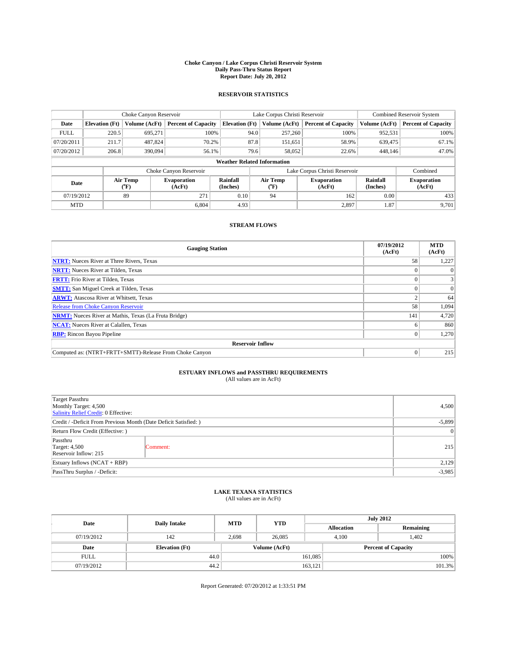#### **Choke Canyon / Lake Corpus Christi Reservoir System Daily Pass-Thru Status Report Report Date: July 20, 2012**

### **RESERVOIR STATISTICS**

|             | Choke Canyon Reservoir             |                  |                              |                       | Lake Corpus Christi Reservoir |                                                  |                               |                      | <b>Combined Reservoir System</b> |  |  |
|-------------|------------------------------------|------------------|------------------------------|-----------------------|-------------------------------|--------------------------------------------------|-------------------------------|----------------------|----------------------------------|--|--|
| Date        | <b>Elevation</b> (Ft)              | Volume (AcFt)    | <b>Percent of Capacity</b>   | <b>Elevation (Ft)</b> |                               | Volume (AcFt)                                    | <b>Percent of Capacity</b>    | Volume (AcFt)        | <b>Percent of Capacity</b>       |  |  |
| <b>FULL</b> | 220.5                              | 695,271          | 100%                         |                       | 94.0                          | 257,260                                          | 100%                          | 952,531              | 100%                             |  |  |
| 07/20/2011  | 211.7                              | 487,824          | 70.2%                        |                       | 87.8                          | 151,651                                          | 58.9%                         | 639,475              | 67.1%                            |  |  |
| 07/20/2012  | 206.8                              | 390,094          | 56.1%                        |                       | 79.6                          | 58,052                                           | 22.6%                         | 448.146              | 47.0%                            |  |  |
|             | <b>Weather Related Information</b> |                  |                              |                       |                               |                                                  |                               |                      |                                  |  |  |
|             |                                    |                  | Choke Canyon Reservoir       |                       |                               |                                                  | Lake Corpus Christi Reservoir |                      | Combined                         |  |  |
| Date        |                                    | Air Temp<br>(°F) | <b>Evaporation</b><br>(AcFt) | Rainfall<br>(Inches)  |                               | Air Temp<br><b>Evaporation</b><br>(AcFt)<br>(°F) |                               | Rainfall<br>(Inches) | <b>Evaporation</b><br>(AcFt)     |  |  |
| 07/19/2012  |                                    | 89               | 271                          | 0.10                  |                               | 94<br>162                                        |                               | 0.00                 | 433                              |  |  |
| <b>MTD</b>  |                                    |                  | 6.804                        | 4.93                  |                               |                                                  | 2,897                         | 1.87                 | 9,701                            |  |  |

### **STREAM FLOWS**

| <b>Gauging Station</b>                                       | 07/19/2012<br>(AcFt) | <b>MTD</b><br>(AcFt) |  |  |  |  |
|--------------------------------------------------------------|----------------------|----------------------|--|--|--|--|
| <b>NTRT:</b> Nueces River at Three Rivers, Texas             | 58                   | 1,227                |  |  |  |  |
| <b>NRTT:</b> Nueces River at Tilden, Texas                   |                      |                      |  |  |  |  |
| <b>FRTT:</b> Frio River at Tilden, Texas                     |                      |                      |  |  |  |  |
| <b>SMTT:</b> San Miguel Creek at Tilden, Texas               |                      | $\Omega$             |  |  |  |  |
| <b>ARWT:</b> Atascosa River at Whitsett, Texas               |                      | 64                   |  |  |  |  |
| Release from Choke Canyon Reservoir                          | 58                   | 1,094                |  |  |  |  |
| <b>NRMT:</b> Nueces River at Mathis, Texas (La Fruta Bridge) | 141                  | 4,720                |  |  |  |  |
| <b>NCAT:</b> Nueces River at Calallen, Texas                 |                      | 860                  |  |  |  |  |
| <b>RBP:</b> Rincon Bayou Pipeline                            | $_{0}$               | 1,270                |  |  |  |  |
| <b>Reservoir Inflow</b>                                      |                      |                      |  |  |  |  |
| Computed as: (NTRT+FRTT+SMTT)-Release From Choke Canyon      | $\Omega$             | 215                  |  |  |  |  |

# **ESTUARY INFLOWS and PASSTHRU REQUIREMENTS**<br>(All values are in AcFt)

| Target Passthru<br>Monthly Target: 4,500<br>Salinity Relief Credit: 0 Effective: |           |     |  |  |
|----------------------------------------------------------------------------------|-----------|-----|--|--|
| Credit / -Deficit From Previous Month (Date Deficit Satisfied: )                 | $-5,899$  |     |  |  |
| Return Flow Credit (Effective: )                                                 | $\vert$ 0 |     |  |  |
| Passthru<br><b>Target: 4,500</b><br>Reservoir Inflow: 215                        | Comment:  | 215 |  |  |
| Estuary Inflows (NCAT + RBP)                                                     | 2,129     |     |  |  |
| PassThru Surplus / -Deficit:                                                     | $-3,985$  |     |  |  |

## **LAKE TEXANA STATISTICS** (All values are in AcFt)

| Date        | <b>Daily Intake</b>   | <b>MTD</b> | <b>YTD</b>    | <b>July 2012</b>  |                            |           |  |
|-------------|-----------------------|------------|---------------|-------------------|----------------------------|-----------|--|
|             |                       |            |               | <b>Allocation</b> |                            | Remaining |  |
| 07/19/2012  | 142                   | 2,698      | 26,085        |                   | 402،<br>4,100              |           |  |
| Date        | <b>Elevation</b> (Ft) |            | Volume (AcFt) |                   | <b>Percent of Capacity</b> |           |  |
| <b>FULL</b> | 44.0                  |            |               | 161,085           |                            | 100%      |  |
| 07/19/2012  | 44.2                  |            |               | 163,121           |                            | 101.3%    |  |

Report Generated: 07/20/2012 at 1:33:51 PM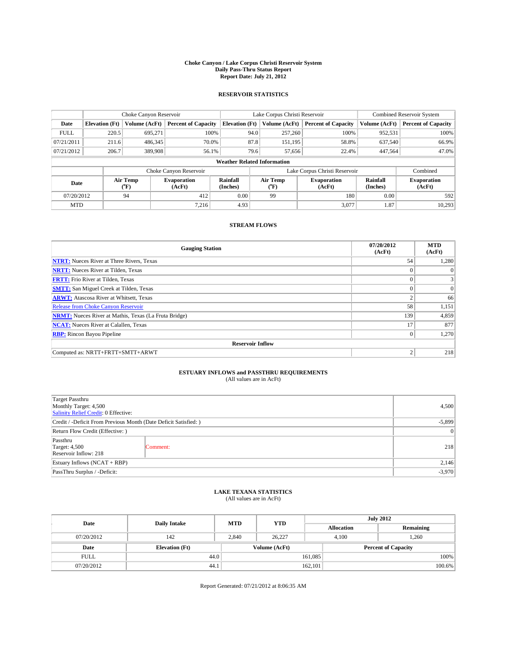#### **Choke Canyon / Lake Corpus Christi Reservoir System Daily Pass-Thru Status Report Report Date: July 21, 2012**

### **RESERVOIR STATISTICS**

|             | Choke Canyon Reservoir             |                  |                              |                       | Lake Corpus Christi Reservoir |                  |                               |                      | Combined Reservoir System    |  |  |
|-------------|------------------------------------|------------------|------------------------------|-----------------------|-------------------------------|------------------|-------------------------------|----------------------|------------------------------|--|--|
| Date        | <b>Elevation</b> (Ft)              | Volume (AcFt)    | <b>Percent of Capacity</b>   | <b>Elevation</b> (Ft) |                               | Volume (AcFt)    | <b>Percent of Capacity</b>    | Volume (AcFt)        | <b>Percent of Capacity</b>   |  |  |
| <b>FULL</b> | 220.5                              | 695,271          | 100%                         |                       | 94.0                          | 257,260          | 100%                          | 952,531              | 100%                         |  |  |
| 07/21/2011  | 211.6                              | 486,345          | 70.0%                        |                       | 87.8                          | 151,195          | 58.8%                         | 637,540              | 66.9%                        |  |  |
| 07/21/2012  | 206.7                              | 389,908          | 56.1%                        |                       | 79.6                          | 57,656           | 22.4%                         | 447,564              | 47.0%                        |  |  |
|             | <b>Weather Related Information</b> |                  |                              |                       |                               |                  |                               |                      |                              |  |  |
|             |                                    |                  | Choke Canyon Reservoir       |                       |                               |                  | Lake Corpus Christi Reservoir |                      | Combined                     |  |  |
| Date        |                                    | Air Temp<br>(°F) | <b>Evaporation</b><br>(AcFt) | Rainfall<br>(Inches)  |                               | Air Temp<br>("F) | <b>Evaporation</b><br>(AcFt)  | Rainfall<br>(Inches) | <b>Evaporation</b><br>(AcFt) |  |  |
| 07/20/2012  |                                    | 94               | 412                          | 0.00                  | 99                            |                  | 180                           | 0.00                 | 592                          |  |  |
| <b>MTD</b>  |                                    |                  | 7.216                        | 4.93                  |                               |                  | 3.077                         | 1.87                 | 10,293                       |  |  |

### **STREAM FLOWS**

| <b>Gauging Station</b>                                       | 07/20/2012<br>(AcFt) | <b>MTD</b><br>(AcFt) |  |  |  |  |
|--------------------------------------------------------------|----------------------|----------------------|--|--|--|--|
| <b>NTRT:</b> Nueces River at Three Rivers, Texas             | 54                   | 1,280                |  |  |  |  |
| <b>NRTT:</b> Nueces River at Tilden, Texas                   |                      | $\theta$             |  |  |  |  |
| <b>FRTT:</b> Frio River at Tilden, Texas                     | $\theta$             |                      |  |  |  |  |
| <b>SMTT:</b> San Miguel Creek at Tilden, Texas               |                      | $\Omega$             |  |  |  |  |
| <b>ARWT:</b> Atascosa River at Whitsett, Texas               | 2                    | 66                   |  |  |  |  |
| Release from Choke Canyon Reservoir                          | 58                   | 1,151                |  |  |  |  |
| <b>NRMT:</b> Nueces River at Mathis, Texas (La Fruta Bridge) | 139                  | 4,859                |  |  |  |  |
| <b>NCAT:</b> Nueces River at Calallen, Texas                 | 17                   | 877                  |  |  |  |  |
| <b>RBP:</b> Rincon Bayou Pipeline                            | $\Omega$             | 1,270                |  |  |  |  |
| <b>Reservoir Inflow</b>                                      |                      |                      |  |  |  |  |
| Computed as: NRTT+FRTT+SMTT+ARWT                             | $\overline{2}$       | 218                  |  |  |  |  |

# **ESTUARY INFLOWS and PASSTHRU REQUIREMENTS**<br>(All values are in AcFt)

| Target Passthru<br>Monthly Target: 4,500<br>Salinity Relief Credit: 0 Effective: |           |     |  |  |
|----------------------------------------------------------------------------------|-----------|-----|--|--|
| Credit / -Deficit From Previous Month (Date Deficit Satisfied: )                 | $-5,899$  |     |  |  |
| Return Flow Credit (Effective: )                                                 | $\vert$ 0 |     |  |  |
| Passthru<br><b>Target: 4,500</b><br>Reservoir Inflow: 218                        | Comment:  | 218 |  |  |
| Estuary Inflows $(NCAT + RBP)$                                                   | 2,146     |     |  |  |
| PassThru Surplus / -Deficit:                                                     | $-3,970$  |     |  |  |

## **LAKE TEXANA STATISTICS** (All values are in AcFt)

| Date        | <b>Daily Intake</b>   | <b>MTD</b> | <b>YTD</b>    | <b>July 2012</b>  |                            |           |  |
|-------------|-----------------------|------------|---------------|-------------------|----------------------------|-----------|--|
|             |                       |            |               | <b>Allocation</b> |                            | Remaining |  |
| 07/20/2012  | 142                   | 2,840      | 26,227        |                   | 1,260<br>4,100             |           |  |
| Date        | <b>Elevation</b> (Ft) |            | Volume (AcFt) |                   | <b>Percent of Capacity</b> |           |  |
| <b>FULL</b> | 44.0                  |            |               | 161,085           |                            | 100%      |  |
| 07/20/2012  | 44.1                  |            |               | 162,101           |                            | 100.6%    |  |

Report Generated: 07/21/2012 at 8:06:35 AM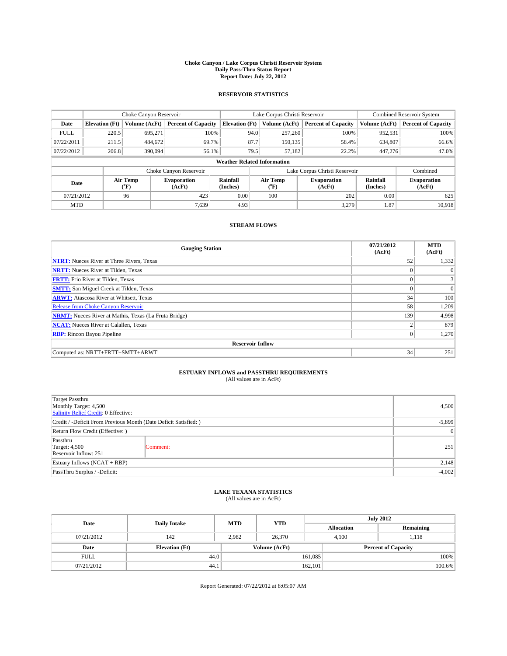#### **Choke Canyon / Lake Corpus Christi Reservoir System Daily Pass-Thru Status Report Report Date: July 22, 2012**

### **RESERVOIR STATISTICS**

|             | Choke Canyon Reservoir             |                  |                              |                       | Lake Corpus Christi Reservoir |                  |                               |                      | <b>Combined Reservoir System</b> |  |  |
|-------------|------------------------------------|------------------|------------------------------|-----------------------|-------------------------------|------------------|-------------------------------|----------------------|----------------------------------|--|--|
| Date        | <b>Elevation</b> (Ft)              | Volume (AcFt)    | <b>Percent of Capacity</b>   | <b>Elevation</b> (Ft) |                               | Volume (AcFt)    | <b>Percent of Capacity</b>    | Volume (AcFt)        | <b>Percent of Capacity</b>       |  |  |
| <b>FULL</b> | 220.5                              | 695,271          | 100%                         |                       | 94.0                          | 257,260          | 100%                          | 952,531              | 100%                             |  |  |
| 07/22/2011  | 211.5                              | 484,672          | 69.7%                        |                       | 87.7                          | 150,135          | 58.4%                         | 634,807              | 66.6%                            |  |  |
| 07/22/2012  | 206.8                              | 390,094          | 56.1%                        |                       | 79.5                          | 57,182           | 22.2%                         | 447,276              | 47.0%                            |  |  |
|             | <b>Weather Related Information</b> |                  |                              |                       |                               |                  |                               |                      |                                  |  |  |
|             |                                    |                  | Choke Canyon Reservoir       |                       |                               |                  | Lake Corpus Christi Reservoir |                      | Combined                         |  |  |
| Date        |                                    | Air Temp<br>(°F) | <b>Evaporation</b><br>(AcFt) | Rainfall<br>(Inches)  |                               | Air Temp<br>("F) | <b>Evaporation</b><br>(AcFt)  | Rainfall<br>(Inches) | <b>Evaporation</b><br>(AcFt)     |  |  |
| 07/21/2012  |                                    | 96               | 423                          | 0.00                  |                               | 100              | 202                           | 0.00                 | 625                              |  |  |
| <b>MTD</b>  |                                    |                  | 7.639                        | 4.93                  |                               |                  | 3,279                         | 1.87                 | 10.918                           |  |  |

### **STREAM FLOWS**

| <b>Gauging Station</b>                                       | 07/21/2012<br>(AcFt) | <b>MTD</b><br>(AcFt) |  |  |  |  |
|--------------------------------------------------------------|----------------------|----------------------|--|--|--|--|
| <b>NTRT:</b> Nueces River at Three Rivers, Texas             | 52                   | 1,332                |  |  |  |  |
| <b>NRTT:</b> Nueces River at Tilden, Texas                   | $\theta$             | $\Omega$             |  |  |  |  |
| <b>FRTT:</b> Frio River at Tilden, Texas                     | $\theta$             | 3                    |  |  |  |  |
| <b>SMTT:</b> San Miguel Creek at Tilden, Texas               | $\Omega$             | $\theta$             |  |  |  |  |
| <b>ARWT:</b> Atascosa River at Whitsett, Texas               | 34                   | 100                  |  |  |  |  |
| Release from Choke Canyon Reservoir                          | 58                   | 1,209                |  |  |  |  |
| <b>NRMT:</b> Nueces River at Mathis, Texas (La Fruta Bridge) | 139                  | 4,998                |  |  |  |  |
| <b>NCAT:</b> Nueces River at Calallen, Texas                 | $\overline{2}$       | 879                  |  |  |  |  |
| <b>RBP:</b> Rincon Bayou Pipeline                            | $\Omega$             | 1,270                |  |  |  |  |
| <b>Reservoir Inflow</b>                                      |                      |                      |  |  |  |  |
| Computed as: NRTT+FRTT+SMTT+ARWT                             | 34                   | 251                  |  |  |  |  |

# **ESTUARY INFLOWS and PASSTHRU REQUIREMENTS**<br>(All values are in AcFt)

| Target Passthru<br>Monthly Target: 4,500<br>Salinity Relief Credit: 0 Effective: | 4,500     |     |
|----------------------------------------------------------------------------------|-----------|-----|
| Credit / -Deficit From Previous Month (Date Deficit Satisfied: )                 | $-5,899$  |     |
| Return Flow Credit (Effective: )                                                 | $\vert$ 0 |     |
| Passthru<br><b>Target: 4,500</b><br>Reservoir Inflow: 251                        | Comment:  | 251 |
| Estuary Inflows $(NCAT + RBP)$                                                   | 2,148     |     |
| PassThru Surplus / -Deficit:                                                     | $-4,002$  |     |

## **LAKE TEXANA STATISTICS** (All values are in AcFt)

| Date        | <b>Daily Intake</b>   | <b>MTD</b> | <b>YTD</b>    | <b>July 2012</b>  |                            |           |  |
|-------------|-----------------------|------------|---------------|-------------------|----------------------------|-----------|--|
|             |                       |            |               | <b>Allocation</b> |                            | Remaining |  |
| 07/21/2012  | 142                   | 2.982      | 26,370        |                   | 1,118<br>4,100             |           |  |
| Date        | <b>Elevation</b> (Ft) |            | Volume (AcFt) |                   | <b>Percent of Capacity</b> |           |  |
| <b>FULL</b> | 44.0                  |            |               | 161,085           |                            | 100%      |  |
| 07/21/2012  | 44.1                  |            |               | 162,101           | 100.6%                     |           |  |

Report Generated: 07/22/2012 at 8:05:07 AM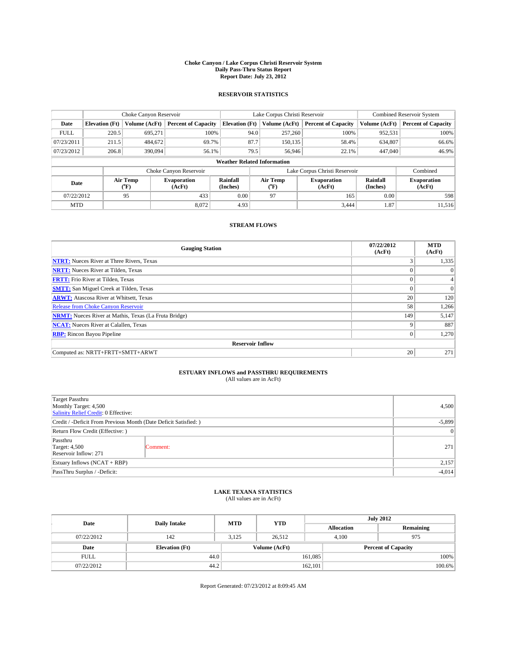#### **Choke Canyon / Lake Corpus Christi Reservoir System Daily Pass-Thru Status Report Report Date: July 23, 2012**

### **RESERVOIR STATISTICS**

|             | Choke Canyon Reservoir             |                  |                            |                       | Lake Corpus Christi Reservoir | <b>Combined Reservoir System</b> |                      |                              |  |
|-------------|------------------------------------|------------------|----------------------------|-----------------------|-------------------------------|----------------------------------|----------------------|------------------------------|--|
| Date        | <b>Elevation</b> (Ft)              | Volume (AcFt)    | <b>Percent of Capacity</b> | <b>Elevation</b> (Ft) | Volume (AcFt)                 | <b>Percent of Capacity</b>       | Volume (AcFt)        | Percent of Capacity          |  |
| <b>FULL</b> | 220.5                              | 695,271          | 100%                       | 94.0                  | 257,260                       | 100%                             | 952,531              | 100%                         |  |
| 07/23/2011  | 211.5                              | 484,672          | 69.7%                      | 87.7                  | 150,135                       | 58.4%                            | 634,807              | $66.6\%$                     |  |
| 07/23/2012  | 206.8                              | 390,094          | 56.1%                      | 79.5                  | 56,946                        | 22.1%                            | 447,040              | 46.9%                        |  |
|             | <b>Weather Related Information</b> |                  |                            |                       |                               |                                  |                      |                              |  |
|             |                                    |                  | Choke Canyon Reservoir     |                       |                               | Lake Corpus Christi Reservoir    |                      | Combined                     |  |
| Date        |                                    | Air Temp<br>(°F) | Evaporation<br>(AcFt)      | Rainfall<br>(Inches)  | Air Temp<br>("F)              | <b>Evaporation</b><br>(AcFt)     | Rainfall<br>(Inches) | <b>Evaporation</b><br>(AcFt) |  |
| 07/22/2012  |                                    | 95               | 433                        | 0.00                  | 97                            | 165                              | 0.00                 | 598                          |  |
| <b>MTD</b>  |                                    |                  | 8.072                      | 4.93                  |                               | 3.444                            | 1.87                 | 11.516                       |  |

### **STREAM FLOWS**

| <b>Gauging Station</b>                                       | 07/22/2012<br>(AcFt) | <b>MTD</b><br>(AcFt) |  |  |  |  |  |
|--------------------------------------------------------------|----------------------|----------------------|--|--|--|--|--|
| <b>NTRT:</b> Nueces River at Three Rivers, Texas             | 3                    | 1,335                |  |  |  |  |  |
| <b>NRTT:</b> Nueces River at Tilden, Texas                   |                      | $\Omega$             |  |  |  |  |  |
| <b>FRTT:</b> Frio River at Tilden, Texas                     | $\mathbf{0}$         |                      |  |  |  |  |  |
| <b>SMTT:</b> San Miguel Creek at Tilden, Texas               |                      | $\Omega$             |  |  |  |  |  |
| <b>ARWT:</b> Atascosa River at Whitsett, Texas               | 20                   | 120                  |  |  |  |  |  |
| <b>Release from Choke Canyon Reservoir</b>                   | 58                   | 1,266                |  |  |  |  |  |
| <b>NRMT:</b> Nueces River at Mathis, Texas (La Fruta Bridge) | 149                  | 5,147                |  |  |  |  |  |
| <b>NCAT:</b> Nueces River at Calallen, Texas                 | q                    | 887                  |  |  |  |  |  |
| <b>RBP:</b> Rincon Bayou Pipeline                            | $\mathbf{0}$         | 1,270                |  |  |  |  |  |
| <b>Reservoir Inflow</b>                                      |                      |                      |  |  |  |  |  |
| Computed as: NRTT+FRTT+SMTT+ARWT                             | 20                   | 271                  |  |  |  |  |  |

# **ESTUARY INFLOWS and PASSTHRU REQUIREMENTS**<br>(All values are in AcFt)

| Target Passthru<br>Monthly Target: 4,500<br>Salinity Relief Credit: 0 Effective: | 4,500     |     |
|----------------------------------------------------------------------------------|-----------|-----|
| Credit / -Deficit From Previous Month (Date Deficit Satisfied: )                 | $-5,899$  |     |
| Return Flow Credit (Effective: )                                                 | $\vert$ 0 |     |
| Passthru<br><b>Target: 4,500</b><br>Reservoir Inflow: 271                        | Comment:  | 271 |
| Estuary Inflows $(NCAT + RBP)$                                                   | 2,157     |     |
| PassThru Surplus / -Deficit:                                                     | $-4,014$  |     |

## **LAKE TEXANA STATISTICS** (All values are in AcFt)

| Date        | <b>Daily Intake</b>   | <b>MTD</b> | <b>YTD</b>    | <b>July 2012</b>  |                            |           |  |
|-------------|-----------------------|------------|---------------|-------------------|----------------------------|-----------|--|
|             |                       |            |               | <b>Allocation</b> |                            | Remaining |  |
| 07/22/2012  | 142                   | 3,125      | 26,512        |                   | 4,100<br>975               |           |  |
| Date        | <b>Elevation</b> (Ft) |            | Volume (AcFt) |                   | <b>Percent of Capacity</b> |           |  |
| <b>FULL</b> | 44.0                  |            |               | 161,085           |                            | 100%      |  |
| 07/22/2012  | 44.2                  |            |               | 162,101           |                            | 100.6%    |  |

Report Generated: 07/23/2012 at 8:09:45 AM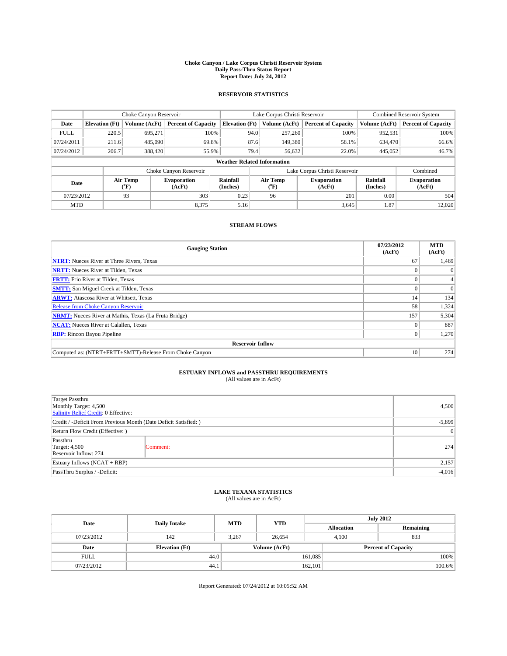#### **Choke Canyon / Lake Corpus Christi Reservoir System Daily Pass-Thru Status Report Report Date: July 24, 2012**

### **RESERVOIR STATISTICS**

|             |                                    | Choke Canyon Reservoir |                              |                       | Lake Corpus Christi Reservoir | <b>Combined Reservoir System</b> |                      |                              |  |
|-------------|------------------------------------|------------------------|------------------------------|-----------------------|-------------------------------|----------------------------------|----------------------|------------------------------|--|
| Date        | <b>Elevation</b> (Ft)              | Volume (AcFt)          | <b>Percent of Capacity</b>   | <b>Elevation</b> (Ft) | Volume (AcFt)                 | <b>Percent of Capacity</b>       | Volume (AcFt)        | <b>Percent of Capacity</b>   |  |
| <b>FULL</b> | 220.5                              | 695,271                | 100%                         | 94.0                  | 257,260                       | 100%                             | 952,531              | 100%                         |  |
| 07/24/2011  | 211.6                              | 485,090                | 69.8%                        | 87.6                  | 149,380                       | 58.1%                            | 634,470              | 66.6%                        |  |
| 07/24/2012  | 206.7                              | 388,420                | 55.9%                        | 79.4                  | 56,632                        | 22.0%                            | 445,052              | 46.7%                        |  |
|             | <b>Weather Related Information</b> |                        |                              |                       |                               |                                  |                      |                              |  |
|             |                                    |                        | Choke Canyon Reservoir       |                       |                               | Lake Corpus Christi Reservoir    |                      | Combined                     |  |
| Date        |                                    | Air Temp<br>(°F)       | <b>Evaporation</b><br>(AcFt) | Rainfall<br>(Inches)  | Air Temp<br>("F)              | <b>Evaporation</b><br>(AcFt)     | Rainfall<br>(Inches) | <b>Evaporation</b><br>(AcFt) |  |
| 07/23/2012  |                                    | 93                     | 303                          | 0.23                  | 96                            | 201                              | 0.00                 | 504                          |  |
| <b>MTD</b>  |                                    |                        | 8,375                        | 5.16                  |                               | 3,645                            | 1.87                 | 12,020                       |  |

### **STREAM FLOWS**

| <b>Gauging Station</b>                                       | 07/23/2012<br>(AcFt) | <b>MTD</b><br>(AcFt) |  |  |  |  |
|--------------------------------------------------------------|----------------------|----------------------|--|--|--|--|
| <b>NTRT:</b> Nueces River at Three Rivers, Texas             | 67                   | 1,469                |  |  |  |  |
| <b>NRTT:</b> Nueces River at Tilden, Texas                   |                      | $\theta$             |  |  |  |  |
| <b>FRTT:</b> Frio River at Tilden, Texas                     |                      |                      |  |  |  |  |
| <b>SMTT:</b> San Miguel Creek at Tilden, Texas               |                      | $\Omega$             |  |  |  |  |
| <b>ARWT:</b> Atascosa River at Whitsett, Texas               | 14                   | 134                  |  |  |  |  |
| <b>Release from Choke Canyon Reservoir</b>                   | 58                   | 1,324                |  |  |  |  |
| <b>NRMT:</b> Nueces River at Mathis, Texas (La Fruta Bridge) | 157                  | 5,304                |  |  |  |  |
| <b>NCAT:</b> Nueces River at Calallen, Texas                 |                      | 887                  |  |  |  |  |
| <b>RBP:</b> Rincon Bayou Pipeline                            | $_{0}$               | 1,270                |  |  |  |  |
| <b>Reservoir Inflow</b>                                      |                      |                      |  |  |  |  |
| Computed as: (NTRT+FRTT+SMTT)-Release From Choke Canyon      | 10                   | 274                  |  |  |  |  |

# **ESTUARY INFLOWS and PASSTHRU REQUIREMENTS**<br>(All values are in AcFt)

| Target Passthru<br>Monthly Target: 4,500<br>Salinity Relief Credit: 0 Effective: | 4,500     |     |  |  |
|----------------------------------------------------------------------------------|-----------|-----|--|--|
| Credit / -Deficit From Previous Month (Date Deficit Satisfied: )                 |           |     |  |  |
| Return Flow Credit (Effective: )                                                 | $\vert$ 0 |     |  |  |
| Passthru<br><b>Target: 4,500</b><br>Reservoir Inflow: 274                        | Comment:  | 274 |  |  |
| Estuary Inflows (NCAT + RBP)                                                     |           |     |  |  |
| PassThru Surplus / -Deficit:                                                     | $-4,016$  |     |  |  |

## **LAKE TEXANA STATISTICS** (All values are in AcFt)

| Date        | <b>Daily Intake</b>   | <b>MTD</b> | <b>YTD</b>    | <b>July 2012</b>  |                            |           |  |
|-------------|-----------------------|------------|---------------|-------------------|----------------------------|-----------|--|
|             |                       |            |               | <b>Allocation</b> |                            | Remaining |  |
| 07/23/2012  | 142                   | 3,267      | 26.654        |                   | 833<br>4,100               |           |  |
| Date        | <b>Elevation</b> (Ft) |            | Volume (AcFt) |                   | <b>Percent of Capacity</b> |           |  |
| <b>FULL</b> | 44.0                  |            |               | 161,085           | 100%                       |           |  |
| 07/23/2012  | 44.1                  |            |               | 162,101           | 100.6%                     |           |  |

Report Generated: 07/24/2012 at 10:05:52 AM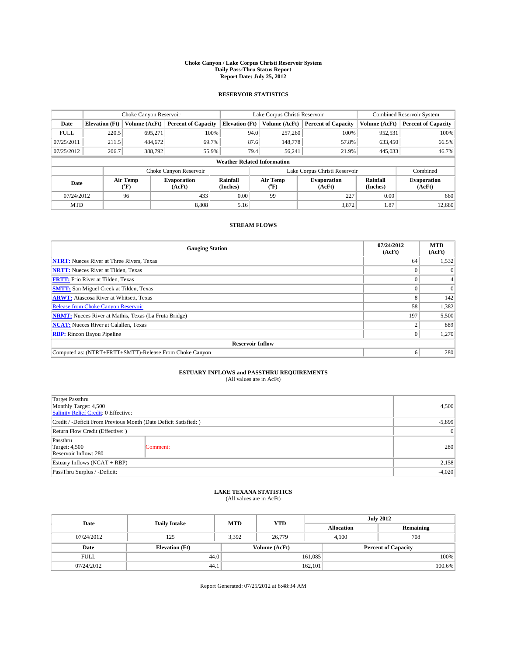#### **Choke Canyon / Lake Corpus Christi Reservoir System Daily Pass-Thru Status Report Report Date: July 25, 2012**

### **RESERVOIR STATISTICS**

|             | Choke Canyon Reservoir             |                  | Lake Corpus Christi Reservoir |                       |                               |                  | <b>Combined Reservoir System</b> |                      |                              |
|-------------|------------------------------------|------------------|-------------------------------|-----------------------|-------------------------------|------------------|----------------------------------|----------------------|------------------------------|
| Date        | <b>Elevation</b> (Ft)              | Volume (AcFt)    | <b>Percent of Capacity</b>    | <b>Elevation</b> (Ft) |                               | Volume (AcFt)    | <b>Percent of Capacity</b>       | Volume (AcFt)        | <b>Percent of Capacity</b>   |
| <b>FULL</b> | 220.5                              | 695,271          | 100%                          |                       | 94.0                          | 257,260          | 100%                             | 952,531              | 100%                         |
| 07/25/2011  | 211.5                              | 484,672          | 69.7%                         |                       | 87.6                          | 148,778          | 57.8%                            | 633,450              | 66.5%                        |
| 07/25/2012  | 206.7                              | 388,792          | 55.9%                         |                       | 79.4                          | 56,241           | 21.9%                            | 445,033              | 46.7%                        |
|             | <b>Weather Related Information</b> |                  |                               |                       |                               |                  |                                  |                      |                              |
|             |                                    |                  | Choke Canyon Reservoir        |                       | Lake Corpus Christi Reservoir |                  |                                  |                      | Combined                     |
| Date        |                                    | Air Temp<br>(°F) | <b>Evaporation</b><br>(AcFt)  | Rainfall<br>(Inches)  |                               | Air Temp<br>("F) | <b>Evaporation</b><br>(AcFt)     | Rainfall<br>(Inches) | <b>Evaporation</b><br>(AcFt) |
|             | 07/24/2012<br>96                   |                  | 433                           | 0.00                  |                               | 227<br>99        |                                  | 0.00                 | 660                          |
| <b>MTD</b>  |                                    |                  | 8.808                         | 5.16                  |                               |                  | 3,872                            | 1.87                 | 12,680                       |

### **STREAM FLOWS**

| <b>Gauging Station</b>                                       | 07/24/2012<br>(AcFt) | <b>MTD</b><br>(AcFt) |  |  |  |  |
|--------------------------------------------------------------|----------------------|----------------------|--|--|--|--|
| <b>NTRT:</b> Nueces River at Three Rivers, Texas             | 64                   | 1,532                |  |  |  |  |
| <b>NRTT:</b> Nueces River at Tilden, Texas                   |                      | $\Omega$             |  |  |  |  |
| <b>FRTT:</b> Frio River at Tilden, Texas                     |                      | 4                    |  |  |  |  |
| <b>SMTT:</b> San Miguel Creek at Tilden, Texas               |                      | $\Omega$             |  |  |  |  |
| <b>ARWT:</b> Atascosa River at Whitsett, Texas               | 8                    | 142                  |  |  |  |  |
| <b>Release from Choke Canyon Reservoir</b>                   | 58                   | 1,382                |  |  |  |  |
| <b>NRMT:</b> Nueces River at Mathis, Texas (La Fruta Bridge) | 197                  | 5,500                |  |  |  |  |
| <b>NCAT:</b> Nueces River at Calallen, Texas                 |                      | 889                  |  |  |  |  |
| <b>RBP:</b> Rincon Bayou Pipeline                            | $\overline{0}$       | 1,270                |  |  |  |  |
| <b>Reservoir Inflow</b>                                      |                      |                      |  |  |  |  |
| Computed as: (NTRT+FRTT+SMTT)-Release From Choke Canyon      | 6                    | 280                  |  |  |  |  |

# **ESTUARY INFLOWS and PASSTHRU REQUIREMENTS**<br>(All values are in AcFt)

| Target Passthru<br>Monthly Target: 4,500<br>Salinity Relief Credit: 0 Effective: | 4,500     |     |
|----------------------------------------------------------------------------------|-----------|-----|
| Credit / -Deficit From Previous Month (Date Deficit Satisfied: )                 | $-5,899$  |     |
| Return Flow Credit (Effective: )                                                 | $\vert$ 0 |     |
| Passthru<br><b>Target: 4,500</b><br>Reservoir Inflow: 280                        | Comment:  | 280 |
| Estuary Inflows (NCAT + RBP)                                                     | 2,158     |     |
| PassThru Surplus / -Deficit:                                                     | $-4,020$  |     |

# **LAKE TEXANA STATISTICS** (All values are in AcFt)

| Date        |                       | <b>MTD</b>    | <b>YTD</b> | <b>July 2012</b>  |                            |           |  |
|-------------|-----------------------|---------------|------------|-------------------|----------------------------|-----------|--|
|             | <b>Daily Intake</b>   |               |            | <b>Allocation</b> |                            | Remaining |  |
| 07/24/2012  | 125                   | 3,392         | 26,779     |                   | 708<br>4,100               |           |  |
| Date        | <b>Elevation</b> (Ft) | Volume (AcFt) |            |                   | <b>Percent of Capacity</b> |           |  |
| <b>FULL</b> | 44.0                  |               |            | 161,085           |                            | 100%      |  |
| 07/24/2012  | 44.1                  |               |            | 162,101           |                            | 100.6%    |  |

Report Generated: 07/25/2012 at 8:48:34 AM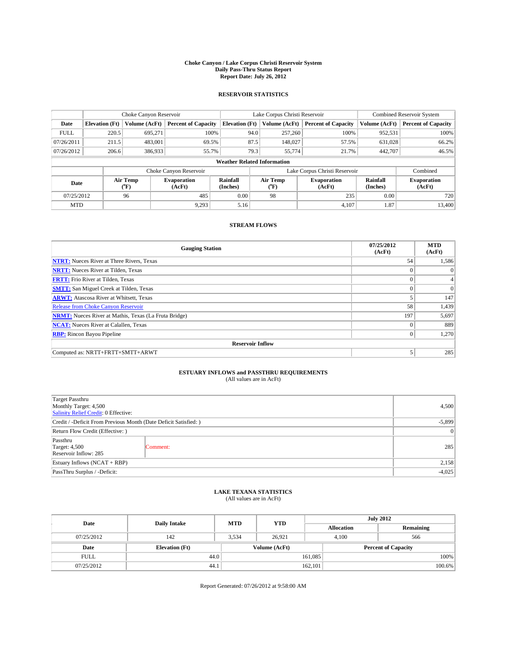#### **Choke Canyon / Lake Corpus Christi Reservoir System Daily Pass-Thru Status Report Report Date: July 26, 2012**

### **RESERVOIR STATISTICS**

|             |                                    | Choke Canyon Reservoir               |                              |                       | Lake Corpus Christi Reservoir | <b>Combined Reservoir System</b> |                      |                              |  |
|-------------|------------------------------------|--------------------------------------|------------------------------|-----------------------|-------------------------------|----------------------------------|----------------------|------------------------------|--|
| Date        | <b>Elevation</b> (Ft)              | Volume (AcFt)                        | <b>Percent of Capacity</b>   | <b>Elevation (Ft)</b> | Volume (AcFt)                 | <b>Percent of Capacity</b>       | Volume (AcFt)        | Percent of Capacity          |  |
| <b>FULL</b> | 220.5                              | 695,271                              | 100%                         | 94.0                  | 257,260                       | 100%                             | 952,531              | 100%                         |  |
| 07/26/2011  | 211.5                              | 483,001                              | 69.5%                        | 87.5                  | 148,027                       | 57.5%                            | 631,028              | $66.2\%$                     |  |
| 07/26/2012  | 206.6                              | 386,933                              | 55.7%                        | 79.3                  | 55,774                        | 21.7%                            | 442,707              | 46.5%                        |  |
|             | <b>Weather Related Information</b> |                                      |                              |                       |                               |                                  |                      |                              |  |
|             |                                    |                                      | Choke Canyon Reservoir       |                       |                               | Lake Corpus Christi Reservoir    |                      | Combined                     |  |
| Date        |                                    | Air Temp<br>$({}^{\circ}\mathrm{F})$ | <b>Evaporation</b><br>(AcFt) | Rainfall<br>(Inches)  | Air Temp<br>("F)              | <b>Evaporation</b><br>(AcFt)     | Rainfall<br>(Inches) | <b>Evaporation</b><br>(AcFt) |  |
| 07/25/2012  |                                    | 96                                   | 485<br>0.00<br>98            |                       | 235                           | 0.00                             | 720                  |                              |  |
| <b>MTD</b>  |                                    |                                      | 9.293                        | 5.16                  |                               | 4.107                            | 1.87                 | 13,400                       |  |

### **STREAM FLOWS**

| <b>Gauging Station</b>                                       | 07/25/2012<br>(AcFt) | <b>MTD</b><br>(AcFt) |  |  |  |  |
|--------------------------------------------------------------|----------------------|----------------------|--|--|--|--|
| <b>NTRT:</b> Nueces River at Three Rivers, Texas             | 54                   | 1,586                |  |  |  |  |
| <b>NRTT:</b> Nueces River at Tilden, Texas                   | $\theta$             | $\Omega$             |  |  |  |  |
| <b>FRTT:</b> Frio River at Tilden, Texas                     | $\theta$             | $\overline{4}$       |  |  |  |  |
| <b>SMTT:</b> San Miguel Creek at Tilden, Texas               | $\theta$             | $\Omega$             |  |  |  |  |
| <b>ARWT:</b> Atascosa River at Whitsett, Texas               | 5                    | 147                  |  |  |  |  |
| Release from Choke Canyon Reservoir                          | 58                   | 1,439                |  |  |  |  |
| <b>NRMT:</b> Nueces River at Mathis, Texas (La Fruta Bridge) | 197                  | 5,697                |  |  |  |  |
| <b>NCAT:</b> Nueces River at Calallen, Texas                 | $\Omega$             | 889                  |  |  |  |  |
| <b>RBP:</b> Rincon Bayou Pipeline                            | $\mathbf{0}$         | 1,270                |  |  |  |  |
| <b>Reservoir Inflow</b>                                      |                      |                      |  |  |  |  |
| Computed as: NRTT+FRTT+SMTT+ARWT                             | 5                    | 285                  |  |  |  |  |

# **ESTUARY INFLOWS and PASSTHRU REQUIREMENTS**<br>(All values are in AcFt)

| Target Passthru<br>Monthly Target: 4,500<br>Salinity Relief Credit: 0 Effective: | 4,500     |     |
|----------------------------------------------------------------------------------|-----------|-----|
| Credit / -Deficit From Previous Month (Date Deficit Satisfied: )                 | $-5,899$  |     |
| Return Flow Credit (Effective: )                                                 | $\vert$ 0 |     |
| Passthru<br><b>Target: 4,500</b><br>Reservoir Inflow: 285                        | Comment:  | 285 |
| Estuary Inflows (NCAT + RBP)                                                     | 2,158     |     |
| PassThru Surplus / -Deficit:                                                     | $-4,025$  |     |

## **LAKE TEXANA STATISTICS** (All values are in AcFt)

| Date        | <b>Daily Intake</b>   | <b>MTD</b> | <b>YTD</b>    | <b>July 2012</b>  |                            |           |  |
|-------------|-----------------------|------------|---------------|-------------------|----------------------------|-----------|--|
|             |                       |            |               | <b>Allocation</b> |                            | Remaining |  |
| 07/25/2012  | 142                   | 3,534      | 26,921        | 4,100             | 566                        |           |  |
| Date        | <b>Elevation</b> (Ft) |            | Volume (AcFt) |                   | <b>Percent of Capacity</b> |           |  |
| <b>FULL</b> | 44.0                  |            |               | 161,085           |                            | 100%      |  |
| 07/25/2012  | 44.1                  |            |               | 162,101           |                            | 100.6%    |  |

Report Generated: 07/26/2012 at 9:58:00 AM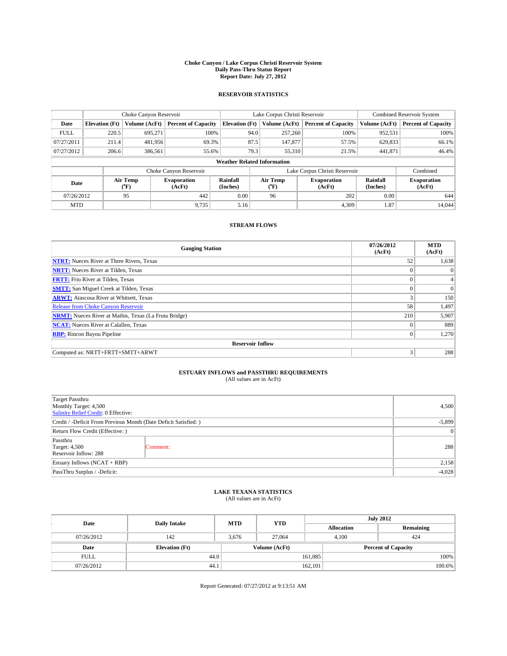#### **Choke Canyon / Lake Corpus Christi Reservoir System Daily Pass-Thru Status Report Report Date: July 27, 2012**

### **RESERVOIR STATISTICS**

|             |                                    | Choke Canyon Reservoir |                              |                       | Lake Corpus Christi Reservoir | <b>Combined Reservoir System</b> |                      |                              |  |
|-------------|------------------------------------|------------------------|------------------------------|-----------------------|-------------------------------|----------------------------------|----------------------|------------------------------|--|
| Date        | <b>Elevation</b> (Ft)              | Volume (AcFt)          | <b>Percent of Capacity</b>   | <b>Elevation</b> (Ft) | Volume (AcFt)                 | <b>Percent of Capacity</b>       | Volume (AcFt)        | <b>Percent of Capacity</b>   |  |
| <b>FULL</b> | 220.5                              | 695,271                | 100%                         | 94.0                  | 257,260                       | 100%                             | 952,531              | 100%                         |  |
| 07/27/2011  | 211.4                              | 481,956                | 69.3%                        | 87.5                  | 147,877                       | 57.5%                            | 629,833              | 66.1%                        |  |
| 07/27/2012  | 206.6                              | 386,561                | 55.6%                        | 79.3                  | 55,310                        | 21.5%                            | 441,871              | 46.4%                        |  |
|             | <b>Weather Related Information</b> |                        |                              |                       |                               |                                  |                      |                              |  |
|             |                                    |                        | Choke Canyon Reservoir       |                       | Lake Corpus Christi Reservoir |                                  | Combined             |                              |  |
| Date        |                                    | Air Temp<br>(°F)       | <b>Evaporation</b><br>(AcFt) | Rainfall<br>(Inches)  | Air Temp<br>("F)              | <b>Evaporation</b><br>(AcFt)     | Rainfall<br>(Inches) | <b>Evaporation</b><br>(AcFt) |  |
| 07/26/2012  | 95                                 |                        | 442                          | 0.00                  | 96                            | 202                              | 0.00                 | 644                          |  |
| <b>MTD</b>  |                                    |                        | 9,735                        | 5.16                  |                               | 4,309                            | 1.87                 | 14,044                       |  |

### **STREAM FLOWS**

| <b>Gauging Station</b>                                       | 07/26/2012<br>(AcFt) | <b>MTD</b><br>(AcFt) |  |  |  |  |
|--------------------------------------------------------------|----------------------|----------------------|--|--|--|--|
| <b>NTRT:</b> Nueces River at Three Rivers, Texas             | 52                   | 1,638                |  |  |  |  |
| <b>NRTT:</b> Nueces River at Tilden, Texas                   | $\theta$             | $\Omega$             |  |  |  |  |
| <b>FRTT:</b> Frio River at Tilden, Texas                     | $\theta$             | $\overline{4}$       |  |  |  |  |
| <b>SMTT:</b> San Miguel Creek at Tilden, Texas               | $\theta$             | $\Omega$             |  |  |  |  |
| <b>ARWT:</b> Atascosa River at Whitsett, Texas               | 3                    | 150                  |  |  |  |  |
| Release from Choke Canyon Reservoir                          | 58                   | 1,497                |  |  |  |  |
| <b>NRMT:</b> Nueces River at Mathis, Texas (La Fruta Bridge) | 210                  | 5,907                |  |  |  |  |
| <b>NCAT:</b> Nueces River at Calallen, Texas                 | $\Omega$             | 889                  |  |  |  |  |
| <b>RBP:</b> Rincon Bayou Pipeline                            | $\mathbf{0}$         | 1,270                |  |  |  |  |
| <b>Reservoir Inflow</b>                                      |                      |                      |  |  |  |  |
| Computed as: NRTT+FRTT+SMTT+ARWT                             | 3                    | 288                  |  |  |  |  |

# **ESTUARY INFLOWS and PASSTHRU REQUIREMENTS**<br>(All values are in AcFt)

| Target Passthru<br>Monthly Target: 4,500<br>Salinity Relief Credit: 0 Effective: | 4,500     |     |
|----------------------------------------------------------------------------------|-----------|-----|
| Credit / -Deficit From Previous Month (Date Deficit Satisfied: )                 | $-5,899$  |     |
| Return Flow Credit (Effective: )                                                 | $\vert$ 0 |     |
| Passthru<br><b>Target: 4,500</b><br>Reservoir Inflow: 288                        | Comment:  | 288 |
| Estuary Inflows $(NCAT + RBP)$                                                   | 2,158     |     |
| PassThru Surplus / -Deficit:                                                     | $-4,028$  |     |

## **LAKE TEXANA STATISTICS** (All values are in AcFt)

| Date        | <b>Daily Intake</b>   | <b>MTD</b> | <b>YTD</b>    | <b>July 2012</b>  |                            |           |  |
|-------------|-----------------------|------------|---------------|-------------------|----------------------------|-----------|--|
|             |                       |            |               | <b>Allocation</b> |                            | Remaining |  |
| 07/26/2012  | 142                   | 3,676      | 27,064        |                   | 4,100<br>424               |           |  |
| Date        | <b>Elevation</b> (Ft) |            | Volume (AcFt) |                   | <b>Percent of Capacity</b> |           |  |
| <b>FULL</b> | 44.0                  |            |               | 161,085           |                            | 100%      |  |
| 07/26/2012  | 44.1                  |            |               | 162,101           |                            | 100.6%    |  |

Report Generated: 07/27/2012 at 9:13:51 AM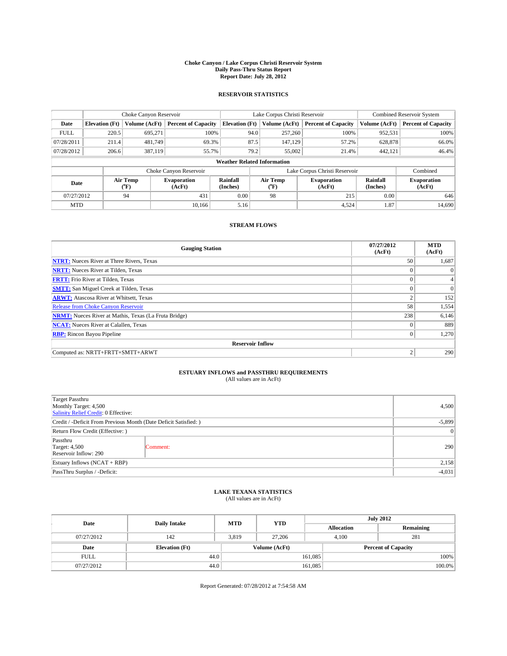#### **Choke Canyon / Lake Corpus Christi Reservoir System Daily Pass-Thru Status Report Report Date: July 28, 2012**

### **RESERVOIR STATISTICS**

|             |                                    | Choke Canyon Reservoir  |                              |                       | Lake Corpus Christi Reservoir | <b>Combined Reservoir System</b> |                      |                              |  |
|-------------|------------------------------------|-------------------------|------------------------------|-----------------------|-------------------------------|----------------------------------|----------------------|------------------------------|--|
| Date        | <b>Elevation</b> (Ft)              | Volume (AcFt)           | <b>Percent of Capacity</b>   | <b>Elevation (Ft)</b> | Volume (AcFt)                 | <b>Percent of Capacity</b>       | Volume (AcFt)        | <b>Percent of Capacity</b>   |  |
| <b>FULL</b> | 220.5                              | 695,271                 | 100%                         | 94.0                  | 257,260                       | 100%                             | 952,531              | 100%                         |  |
| 07/28/2011  | 211.4                              | 481,749                 | 69.3%                        | 87.5                  | 147,129                       | 57.2%                            | 628,878              | 66.0%                        |  |
| 07/28/2012  | 206.6                              | 387,119                 | 55.7%                        |                       | 79.2<br>55,002                | 21.4%                            | 442.121              | 46.4%                        |  |
|             | <b>Weather Related Information</b> |                         |                              |                       |                               |                                  |                      |                              |  |
|             |                                    |                         | Choke Canyon Reservoir       |                       |                               | Lake Corpus Christi Reservoir    |                      | Combined                     |  |
| Date        | Air Temp<br>(°F)                   |                         | <b>Evaporation</b><br>(AcFt) | Rainfall<br>(Inches)  | Air Temp<br>(°F)              | <b>Evaporation</b><br>(AcFt)     | Rainfall<br>(Inches) | <b>Evaporation</b><br>(AcFt) |  |
| 07/27/2012  |                                    | 0.00<br>431<br>98<br>94 |                              | 215                   | 0.00                          | 646                              |                      |                              |  |
| <b>MTD</b>  |                                    |                         | 10.166                       | 5.16                  |                               | 4,524                            | 1.87                 | 14,690                       |  |

### **STREAM FLOWS**

| <b>Gauging Station</b>                                       | 07/27/2012<br>(AcFt) | <b>MTD</b><br>(AcFt) |  |  |  |  |  |
|--------------------------------------------------------------|----------------------|----------------------|--|--|--|--|--|
| <b>NTRT:</b> Nueces River at Three Rivers, Texas             | 50                   | 1,687                |  |  |  |  |  |
| <b>NRTT:</b> Nueces River at Tilden, Texas                   |                      | $\theta$             |  |  |  |  |  |
| <b>FRTT:</b> Frio River at Tilden, Texas                     | $\theta$             |                      |  |  |  |  |  |
| <b>SMTT:</b> San Miguel Creek at Tilden, Texas               |                      | $\Omega$             |  |  |  |  |  |
| <b>ARWT:</b> Atascosa River at Whitsett, Texas               | $\mathfrak{2}$       | 152                  |  |  |  |  |  |
| Release from Choke Canyon Reservoir                          | 58                   | 1,554                |  |  |  |  |  |
| <b>NRMT:</b> Nueces River at Mathis, Texas (La Fruta Bridge) | 238                  | 6,146                |  |  |  |  |  |
| <b>NCAT:</b> Nueces River at Calallen, Texas                 | $\theta$             | 889                  |  |  |  |  |  |
| <b>RBP:</b> Rincon Bayou Pipeline                            | $\Omega$             | 1,270                |  |  |  |  |  |
| <b>Reservoir Inflow</b>                                      |                      |                      |  |  |  |  |  |
| Computed as: NRTT+FRTT+SMTT+ARWT                             | $\overline{2}$       | 290                  |  |  |  |  |  |

# **ESTUARY INFLOWS and PASSTHRU REQUIREMENTS**<br>(All values are in AcFt)

| Target Passthru<br>Monthly Target: 4,500<br>Salinity Relief Credit: 0 Effective: | 4,500     |     |
|----------------------------------------------------------------------------------|-----------|-----|
| Credit / -Deficit From Previous Month (Date Deficit Satisfied: )                 | $-5,899$  |     |
| Return Flow Credit (Effective: )                                                 | $\vert$ 0 |     |
| Passthru<br><b>Target: 4,500</b><br>Reservoir Inflow: 290                        | Comment:  | 290 |
| Estuary Inflows $(NCAT + RBP)$                                                   | 2,158     |     |
| PassThru Surplus / -Deficit:                                                     | $-4,031$  |     |

# **LAKE TEXANA STATISTICS** (All values are in AcFt)

| Date        | <b>Daily Intake</b>   | <b>MTD</b> | <b>YTD</b>    | <b>July 2012</b>  |                            |           |  |
|-------------|-----------------------|------------|---------------|-------------------|----------------------------|-----------|--|
|             |                       |            |               | <b>Allocation</b> |                            | Remaining |  |
| 07/27/2012  | 142                   | 3,819      | 27,206        |                   | 281<br>4,100               |           |  |
| Date        | <b>Elevation</b> (Ft) |            | Volume (AcFt) |                   | <b>Percent of Capacity</b> |           |  |
| <b>FULL</b> | 44.0                  |            |               | 161,085           |                            | 100%      |  |
| 07/27/2012  | 44.0                  |            |               | 161,085           |                            | 100.0%    |  |

Report Generated: 07/28/2012 at 7:54:58 AM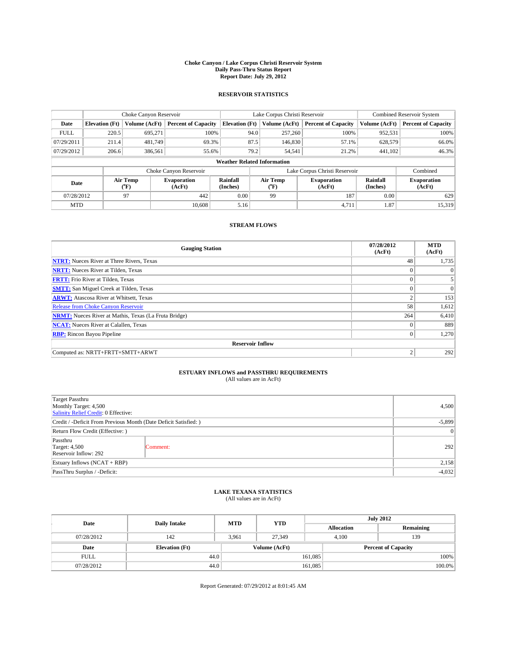#### **Choke Canyon / Lake Corpus Christi Reservoir System Daily Pass-Thru Status Report Report Date: July 29, 2012**

### **RESERVOIR STATISTICS**

|             |                                    | Choke Canyon Reservoir  |                              |                       | Lake Corpus Christi Reservoir | <b>Combined Reservoir System</b> |               |                              |  |
|-------------|------------------------------------|-------------------------|------------------------------|-----------------------|-------------------------------|----------------------------------|---------------|------------------------------|--|
| Date        | <b>Elevation</b> (Ft)              | Volume (AcFt)           | <b>Percent of Capacity</b>   | <b>Elevation</b> (Ft) | Volume (AcFt)                 | <b>Percent of Capacity</b>       | Volume (AcFt) | <b>Percent of Capacity</b>   |  |
| <b>FULL</b> | 220.5                              | 695,271                 | 100%                         | 94.0                  | 257,260                       | 100%                             | 952,531       | 100%                         |  |
| 07/29/2011  | 211.4                              | 481,749                 | 69.3%                        | 87.5                  | 146,830                       | 57.1%                            | 628,579       | 66.0%                        |  |
| 07/29/2012  | 206.6                              | 386,561                 | 55.6%                        | 79.2                  | 54,541                        | 21.2%                            | 441,102       | 46.3%                        |  |
|             | <b>Weather Related Information</b> |                         |                              |                       |                               |                                  |               |                              |  |
|             |                                    |                         | Choke Canyon Reservoir       |                       | Lake Corpus Christi Reservoir |                                  | Combined      |                              |  |
| Date        | Air Temp<br>(°F)                   |                         | <b>Evaporation</b><br>(AcFt) | Rainfall<br>(Inches)  | Air Temp<br>("F)              | <b>Evaporation</b><br>(AcFt)     |               | <b>Evaporation</b><br>(AcFt) |  |
| 07/28/2012  |                                    | 97<br>442<br>0.00<br>99 |                              | 187                   | 0.00                          | 629                              |               |                              |  |
| <b>MTD</b>  |                                    |                         | 10.608                       | 5.16                  |                               | 4,711                            | 1.87          | 15,319                       |  |

### **STREAM FLOWS**

| <b>Gauging Station</b>                                       | 07/28/2012<br>(AcFt) | <b>MTD</b><br>(AcFt) |  |  |  |  |  |
|--------------------------------------------------------------|----------------------|----------------------|--|--|--|--|--|
| <b>NTRT:</b> Nueces River at Three Rivers, Texas             | 48                   | 1,735                |  |  |  |  |  |
| <b>NRTT:</b> Nueces River at Tilden, Texas                   | $\theta$             | $\theta$             |  |  |  |  |  |
| <b>FRTT:</b> Frio River at Tilden, Texas                     |                      |                      |  |  |  |  |  |
| <b>SMTT:</b> San Miguel Creek at Tilden, Texas               | $\theta$             | $\Omega$             |  |  |  |  |  |
| <b>ARWT:</b> Atascosa River at Whitsett, Texas               | 2                    | 153                  |  |  |  |  |  |
| <b>Release from Choke Canyon Reservoir</b>                   | 58                   | 1,612                |  |  |  |  |  |
| <b>NRMT:</b> Nueces River at Mathis, Texas (La Fruta Bridge) | 264                  | 6,410                |  |  |  |  |  |
| <b>NCAT:</b> Nueces River at Calallen, Texas                 | $\Omega$             | 889                  |  |  |  |  |  |
| <b>RBP:</b> Rincon Bayou Pipeline                            | $\mathbf{0}$         | 1,270                |  |  |  |  |  |
| <b>Reservoir Inflow</b>                                      |                      |                      |  |  |  |  |  |
| Computed as: NRTT+FRTT+SMTT+ARWT                             | $\overline{2}$       | 292                  |  |  |  |  |  |

# **ESTUARY INFLOWS and PASSTHRU REQUIREMENTS**<br>(All values are in AcFt)

| Target Passthru<br>Monthly Target: 4,500<br>Salinity Relief Credit: 0 Effective: | 4,500     |     |
|----------------------------------------------------------------------------------|-----------|-----|
| Credit / -Deficit From Previous Month (Date Deficit Satisfied: )                 | $-5,899$  |     |
| Return Flow Credit (Effective: )                                                 | $\vert$ 0 |     |
| Passthru<br><b>Target: 4,500</b><br>Reservoir Inflow: 292                        | Comment:  | 292 |
| Estuary Inflows $(NCAT + RBP)$                                                   | 2,158     |     |
| PassThru Surplus / -Deficit:                                                     | $-4,032$  |     |

# **LAKE TEXANA STATISTICS** (All values are in AcFt)

| Date        | <b>Daily Intake</b>   | <b>MTD</b> | <b>YTD</b>    | <b>July 2012</b>  |                            |           |  |
|-------------|-----------------------|------------|---------------|-------------------|----------------------------|-----------|--|
|             |                       |            |               | <b>Allocation</b> |                            | Remaining |  |
| 07/28/2012  | 142                   | 3,961      | 27.349        |                   | 139<br>4,100               |           |  |
| Date        | <b>Elevation</b> (Ft) |            | Volume (AcFt) |                   | <b>Percent of Capacity</b> |           |  |
| <b>FULL</b> | 44.0                  |            |               | 161,085           |                            | 100%      |  |
| 07/28/2012  | 44.0                  |            |               | 161,085           |                            | 100.0%    |  |

Report Generated: 07/29/2012 at 8:01:45 AM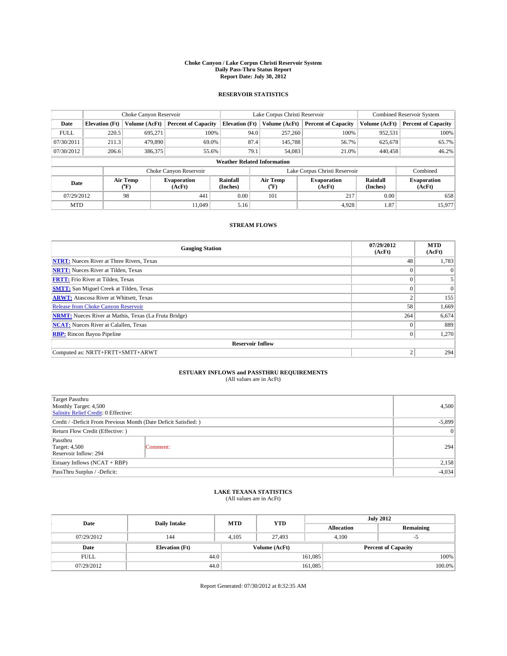#### **Choke Canyon / Lake Corpus Christi Reservoir System Daily Pass-Thru Status Report Report Date: July 30, 2012**

### **RESERVOIR STATISTICS**

|             |                                    | Choke Canyon Reservoir |                            |                       | Lake Corpus Christi Reservoir | <b>Combined Reservoir System</b> |               |                              |  |
|-------------|------------------------------------|------------------------|----------------------------|-----------------------|-------------------------------|----------------------------------|---------------|------------------------------|--|
| Date        | <b>Elevation</b> (Ft)              | Volume (AcFt)          | <b>Percent of Capacity</b> | <b>Elevation</b> (Ft) | Volume (AcFt)                 | <b>Percent of Capacity</b>       | Volume (AcFt) | Percent of Capacity          |  |
| <b>FULL</b> | 220.5                              | 695,271                | 100%                       | 94.0                  | 257,260                       | 100%                             | 952,531       | 100%                         |  |
| 07/30/2011  | 211.3                              | 479,890                | 69.0%                      | 87.4                  | 145,788                       | 56.7%                            | 625,678       | 65.7%                        |  |
| 07/30/2012  | 206.6                              | 386,375                | 55.6%                      | 79.1                  | 54,083                        | 21.0%                            | 440,458       | $46.2\%$                     |  |
|             | <b>Weather Related Information</b> |                        |                            |                       |                               |                                  |               |                              |  |
|             |                                    |                        | Choke Canyon Reservoir     |                       | Lake Corpus Christi Reservoir | Combined                         |               |                              |  |
| Date        |                                    | Air Temp<br>(°F)       | Evaporation<br>(AcFt)      | Rainfall<br>(Inches)  | Air Temp<br>("F)              | <b>Evaporation</b><br>(AcFt)     |               | <b>Evaporation</b><br>(AcFt) |  |
| 07/29/2012  |                                    | 98                     | 441<br>0.00<br>101         |                       | 217                           | 0.00                             | 658           |                              |  |
| <b>MTD</b>  |                                    |                        | 11.049                     | 5.16                  |                               | 4.928                            | 1.87          | 15,977                       |  |

### **STREAM FLOWS**

| <b>Gauging Station</b>                                       | 07/29/2012<br>(AcFt) | <b>MTD</b><br>(AcFt) |  |  |  |  |
|--------------------------------------------------------------|----------------------|----------------------|--|--|--|--|
| <b>NTRT:</b> Nueces River at Three Rivers, Texas             | 48                   | 1,783                |  |  |  |  |
| <b>NRTT:</b> Nueces River at Tilden, Texas                   | $\theta$             | $\Omega$             |  |  |  |  |
| <b>FRTT:</b> Frio River at Tilden, Texas                     | $\theta$             | 5                    |  |  |  |  |
| <b>SMTT:</b> San Miguel Creek at Tilden, Texas               | $\theta$             | $\Omega$             |  |  |  |  |
| <b>ARWT:</b> Atascosa River at Whitsett, Texas               | $\overline{2}$       | 155                  |  |  |  |  |
| <b>Release from Choke Canyon Reservoir</b>                   | 58                   | 1,669                |  |  |  |  |
| <b>NRMT:</b> Nueces River at Mathis, Texas (La Fruta Bridge) | 264                  | 6,674                |  |  |  |  |
| <b>NCAT:</b> Nueces River at Calallen, Texas                 | $\Omega$             | 889                  |  |  |  |  |
| <b>RBP:</b> Rincon Bayou Pipeline                            | $\mathbf{0}$         | 1,270                |  |  |  |  |
| <b>Reservoir Inflow</b>                                      |                      |                      |  |  |  |  |
| Computed as: NRTT+FRTT+SMTT+ARWT                             | $\overline{2}$       | 294                  |  |  |  |  |

# **ESTUARY INFLOWS and PASSTHRU REQUIREMENTS**<br>(All values are in AcFt)

| Target Passthru<br>Monthly Target: 4,500<br>Salinity Relief Credit: 0 Effective: | 4,500     |     |
|----------------------------------------------------------------------------------|-----------|-----|
| Credit / -Deficit From Previous Month (Date Deficit Satisfied: )                 | $-5,899$  |     |
| Return Flow Credit (Effective: )                                                 | $\vert$ 0 |     |
| Passthru<br><b>Target: 4,500</b><br>Reservoir Inflow: 294                        | Comment:  | 294 |
| Estuary Inflows (NCAT + RBP)                                                     | 2,158     |     |
| PassThru Surplus / -Deficit:                                                     | $-4,034$  |     |

## **LAKE TEXANA STATISTICS** (All values are in AcFt)

| Date        | <b>Daily Intake</b>   | <b>MTD</b> | <b>YTD</b>    | <b>July 2012</b>  |                            |           |  |
|-------------|-----------------------|------------|---------------|-------------------|----------------------------|-----------|--|
|             |                       |            |               | <b>Allocation</b> |                            | Remaining |  |
| 07/29/2012  | 144                   | 4,105      | 27,493        |                   | 4,100                      |           |  |
| Date        | <b>Elevation</b> (Ft) |            | Volume (AcFt) |                   | <b>Percent of Capacity</b> |           |  |
| <b>FULL</b> | 44.0                  |            |               | 161,085           |                            | 100%      |  |
| 07/29/2012  | 44.0                  |            |               | 161,085           |                            | 100.0%    |  |

Report Generated: 07/30/2012 at 8:32:35 AM